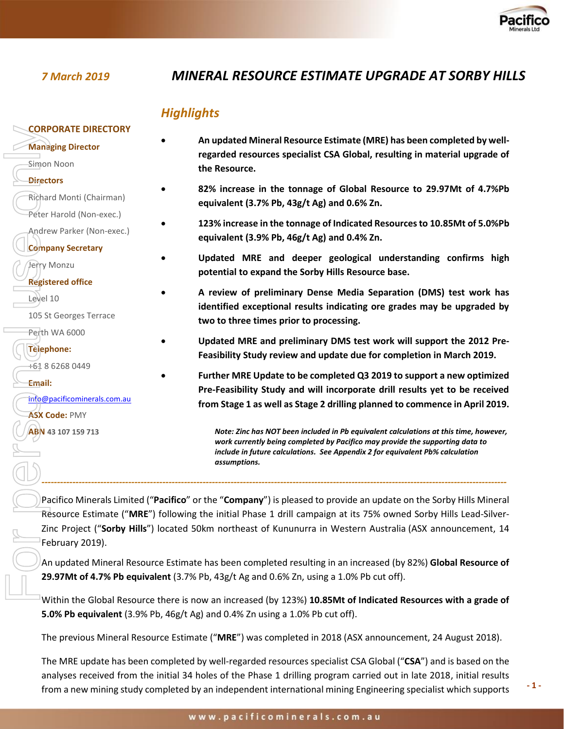

# *7 March 2019 MINERAL RESOURCE ESTIMATE UPGRADE AT SORBY HILLS*

# *Highlights*

| <b>CORPORATE DIRECTORY</b>   |                                                                                                                                                                                                                                                                                      |
|------------------------------|--------------------------------------------------------------------------------------------------------------------------------------------------------------------------------------------------------------------------------------------------------------------------------------|
| <b>Managing Director</b>     | An updated Mineral Resource Estimate (MRE) has been completed by well-<br>regarded resources specialist CSA Global, resulting in material upgrade of                                                                                                                                 |
| Simon Noon                   | the Resource.                                                                                                                                                                                                                                                                        |
| <b>Directors</b>             |                                                                                                                                                                                                                                                                                      |
| Richard Monti (Chairman)     | 82% increase in the tonnage of Global Resource to 29.97Mt of 4.7%Pb<br>equivalent (3.7% Pb, 43g/t Ag) and 0.6% Zn.                                                                                                                                                                   |
| Peter Harold (Non-exec.)     | 123% increase in the tonnage of Indicated Resources to 10.85Mt of 5.0%Pb                                                                                                                                                                                                             |
| Andrew Parker (Non-exec.)    | equivalent (3.9% Pb, 46g/t Ag) and 0.4% Zn.                                                                                                                                                                                                                                          |
| <b>Company Secretary</b>     | Updated MRE and deeper geological understanding confirms high                                                                                                                                                                                                                        |
| Jerry Monzu                  | potential to expand the Sorby Hills Resource base.                                                                                                                                                                                                                                   |
| <b>Registered office</b>     | A review of preliminary Dense Media Separation (DMS) test work has                                                                                                                                                                                                                   |
| Level 10                     | identified exceptional results indicating ore grades may be upgraded by                                                                                                                                                                                                              |
| 105 St Georges Terrace       | two to three times prior to processing.                                                                                                                                                                                                                                              |
| Perth WA 6000                |                                                                                                                                                                                                                                                                                      |
| <b>Telephone:</b>            | Updated MRE and preliminary DMS test work will support the 2012 Pre-<br>Feasibility Study review and update due for completion in March 2019.                                                                                                                                        |
| +61 8 6268 0449              | Further MRE Update to be completed Q3 2019 to support a new optimized                                                                                                                                                                                                                |
| Email:                       | Pre-Feasibility Study and will incorporate drill results yet to be received                                                                                                                                                                                                          |
| info@pacificominerals.com.au | from Stage 1 as well as Stage 2 drilling planned to commence in April 2019.                                                                                                                                                                                                          |
| <b>ASX Code: PMY</b>         |                                                                                                                                                                                                                                                                                      |
| ABN 43 107 159 713           | Note: Zinc has NOT been included in Pb equivalent calculations at this time, however,                                                                                                                                                                                                |
|                              | work currently being completed by Pacifico may provide the supporting data to<br>include in future calculations. See Appendix 2 for equivalent Pb% calculation                                                                                                                       |
|                              | assumptions.                                                                                                                                                                                                                                                                         |
|                              | Pacifico Minerals Limited ("Pacifico" or the "Company") is pleased to provide an update on the Sorby Hills Mineral                                                                                                                                                                   |
|                              | Resource Estimate ("MRE") following the initial Phase 1 drill campaign at its 75% owned Sorby Hills Lead-Silver-                                                                                                                                                                     |
| February 2019).              | Zinc Project ("Sorby Hills") located 50km northeast of Kununurra in Western Australia (ASX announcement, 14                                                                                                                                                                          |
|                              |                                                                                                                                                                                                                                                                                      |
|                              | An updated Mineral Resource Estimate has been completed resulting in an increased (by 82%) Global Resource of<br>29.97Mt of 4.7% Pb equivalent (3.7% Pb, 43g/t Ag and 0.6% Zn, using a 1.0% Pb cut off).                                                                             |
|                              |                                                                                                                                                                                                                                                                                      |
|                              | $\mathbf{M}$ and $\mathbf{M}$ and $\mathbf{M}$ are the state of the state of the state of $\mathbf{M}$ and $\mathbf{M}$ and $\mathbf{M}$ are $\mathbf{M}$ and $\mathbf{M}$ are $\mathbf{M}$ and $\mathbf{M}$ are $\mathbf{M}$ and $\mathbf{M}$ are $\mathbf{M}$ and $\mathbf{M}$ are |

Within the Global Resource there is now an increased (by 123%) **10.85Mt of Indicated Resources with a grade of 5.0% Pb equivalent** (3.9% Pb, 46g/t Ag) and 0.4% Zn using a 1.0% Pb cut off).

The previous Mineral Resource Estimate ("**MRE**") was completed in 2018 (ASX announcement, 24 August 2018).

The MRE update has been completed by well-regarded resources specialist CSA Global ("**CSA**") and is based on the analyses received from the initial 34 holes of the Phase 1 drilling program carried out in late 2018, initial results from a new mining study completed by an independent international mining Engineering specialist which supports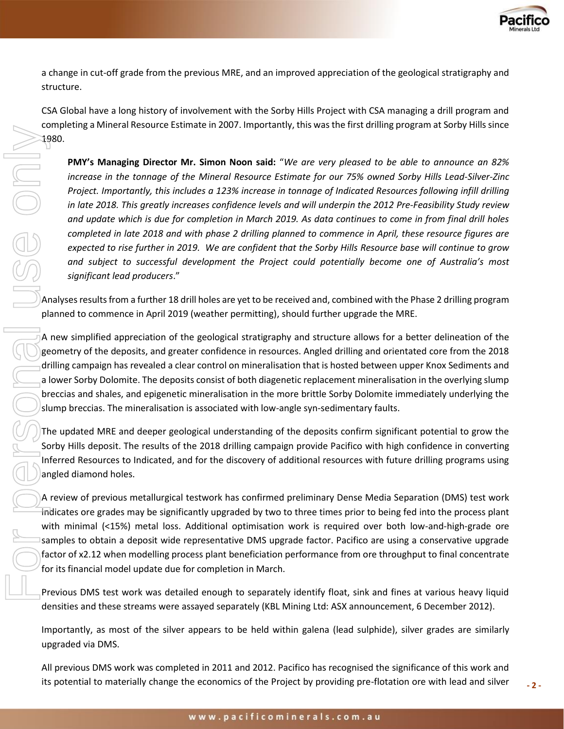

a change in cut-off grade from the previous MRE, and an improved appreciation of the geological stratigraphy and structure.

CSA Global have a long history of involvement with the Sorby Hills Project with CSA managing a drill program and completing a Mineral Resource Estimate in 2007. Importantly, this was the first drilling program at Sorby Hills since 1980.

**PMY's Managing Director Mr. Simon Noon said:** "*We are very pleased to be able to announce an 82% increase in the tonnage of the Mineral Resource Estimate for our 75% owned Sorby Hills Lead-Silver-Zinc Project. Importantly, this includes a 123% increase in tonnage of Indicated Resources following infill drilling in late 2018. This greatly increases confidence levels and will underpin the 2012 Pre-Feasibility Study review and update which is due for completion in March 2019. As data continues to come in from final drill holes completed in late 2018 and with phase 2 drilling planned to commence in April, these resource figures are expected to rise further in 2019. We are confident that the Sorby Hills Resource base will continue to grow and subject to successful development the Project could potentially become one of Australia's most significant lead producers*." is a constraint to material to material to material to material to material to material to materially change the economic state. The conomics of the Project by providing pre-flotation or the Project by the Conomics of the

Analyses results from a further 18 drill holes are yet to be received and, combined with the Phase 2 drilling program planned to commence in April 2019 (weather permitting), should further upgrade the MRE.

A new simplified appreciation of the geological stratigraphy and structure allows for a better delineation of the geometry of the deposits, and greater confidence in resources. Angled drilling and orientated core from the 2018 drilling campaign has revealed a clear control on mineralisation that is hosted between upper Knox Sediments and a lower Sorby Dolomite. The deposits consist of both diagenetic replacement mineralisation in the overlying slump breccias and shales, and epigenetic mineralisation in the more brittle Sorby Dolomite immediately underlying the slump breccias. The mineralisation is associated with low-angle syn-sedimentary faults.

The updated MRE and deeper geological understanding of the deposits confirm significant potential to grow the Sorby Hills deposit. The results of the 2018 drilling campaign provide Pacifico with high confidence in converting Inferred Resources to Indicated, and for the discovery of additional resources with future drilling programs using angled diamond holes.

A review of previous metallurgical testwork has confirmed preliminary Dense Media Separation (DMS) test work indicates ore grades may be significantly upgraded by two to three times prior to being fed into the process plant with minimal (<15%) metal loss. Additional optimisation work is required over both low-and-high-grade ore samples to obtain a deposit wide representative DMS upgrade factor. Pacifico are using a conservative upgrade factor of x2.12 when modelling process plant beneficiation performance from ore throughput to final concentrate for its financial model update due for completion in March.

Previous DMS test work was detailed enough to separately identify float, sink and fines at various heavy liquid densities and these streams were assayed separately (KBL Mining Ltd: ASX announcement, 6 December 2012).

Importantly, as most of the silver appears to be held within galena (lead sulphide), silver grades are similarly upgraded via DMS.

All previous DMS work was completed in 2011 and 2012. Pacifico has recognised the significance of this work and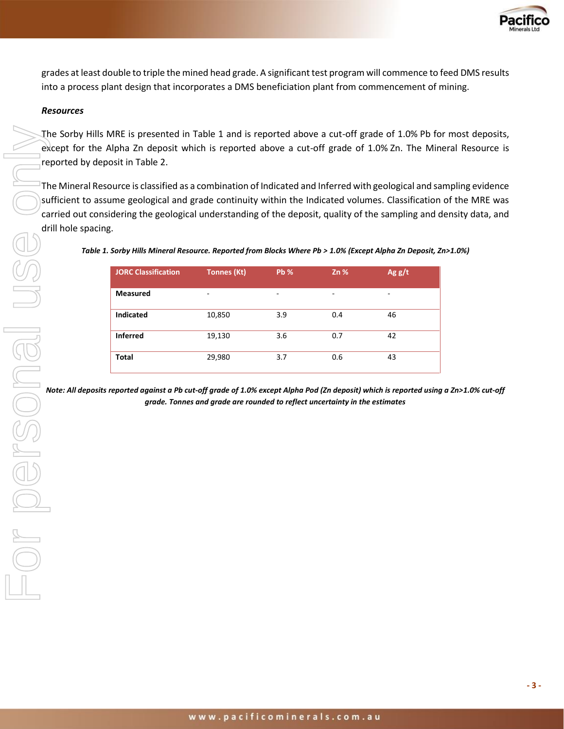

grades at least double to triple the mined head grade. A significant test program will commence to feed DMS results into a process plant design that incorporates a DMS beneficiation plant from commencement of mining.

#### *Resources*

The Sorby Hills MRE is presented in Table 1 and is reported above a cut-off grade of 1.0% Pb for most deposits, except for the Alpha Zn deposit which is reported above a cut-off grade of 1.0% Zn. The Mineral Resource is reported by deposit in Table 2.

The Mineral Resource is classified as a combination of Indicated and Inferred with geological and sampling evidence sufficient to assume geological and grade continuity within the Indicated volumes. Classification of the MRE was carried out considering the geological understanding of the deposit, quality of the sampling and density data, and drill hole spacing.

| <b>JORC Classification</b> | <b>Tonnes (Kt)</b> | <b>Pb %</b> | Zn% | Ag g/t |
|----------------------------|--------------------|-------------|-----|--------|
| <b>Measured</b>            | ۰                  | -           | -   | ۰      |
| <b>Indicated</b>           | 10,850             | 3.9         | 0.4 | 46     |
| <b>Inferred</b>            | 19,130             | 3.6         | 0.7 | 42     |
| <b>Total</b>               | 29,980             | 3.7         | 0.6 | 43     |

| Table 1. Sorby Hills Mineral Resource. Reported from Blocks Where Pb > 1.0% (Except Alpha Zn Deposit, Zn>1.0%) |  |  |
|----------------------------------------------------------------------------------------------------------------|--|--|
|                                                                                                                |  |  |

*Note: All deposits reported against a Pb cut-off grade of 1.0% except Alpha Pod (Zn deposit) which is reported using a Zn>1.0% cut-off grade. Tonnes and grade are rounded to reflect uncertainty in the estimates*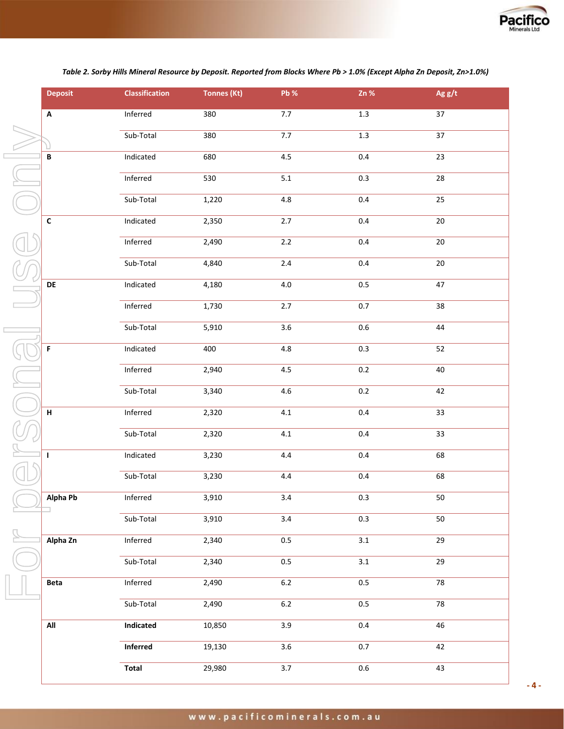

*Table 2. Sorby Hills Mineral Resource by Deposit. Reported from Blocks Where Pb > 1.0% (Except Alpha Zn Deposit, Zn>1.0%)*

| <b>Deposit</b>            | <b>Classification</b> | <b>Tonnes (Kt)</b> | Pb %             | $Zn$ %           | Ag $g/t$        |  |
|---------------------------|-----------------------|--------------------|------------------|------------------|-----------------|--|
| $\boldsymbol{\mathsf{A}}$ | Inferred              | 380                | 7.7              | 1.3              | $\overline{37}$ |  |
|                           | Sub-Total             | 380                | $7.7\,$          | $1.3\,$          | 37              |  |
| $\, {\bf B}$              | Indicated             | 680                | 4.5              | $0.4\,$          | 23              |  |
|                           | Inferred              | 530                | $5.1\,$          | $0.3\,$          | 28              |  |
|                           | Sub-Total             | 1,220              | 4.8              | 0.4              | 25              |  |
| $\mathsf{C}$              | Indicated             | 2,350              | $2.7$            | 0.4              | $20\,$          |  |
|                           | Inferred              | 2,490              | $2.2\,$          | 0.4              | $20\,$          |  |
|                           | Sub-Total             | 4,840              | $2.4\,$          | 0.4              | $20\,$          |  |
| DE                        | Indicated             | 4,180              | $4.0\,$          | 0.5              | 47              |  |
|                           | Inferred              | 1,730              | 2.7              | $0.7\,$          | 38              |  |
|                           | Sub-Total             | 5,910              | 3.6              | $0.6\,$          | 44              |  |
| F                         | Indicated             | 400                | 4.8              | 0.3              | 52              |  |
|                           | Inferred              | 2,940              | 4.5              | 0.2              | 40              |  |
|                           | Sub-Total             | 3,340              | 4.6              | 0.2              | 42              |  |
| H                         | <b>Inferred</b>       | 2,320              | 4.1              | 0.4              | 33              |  |
|                           | Sub-Total             | 2,320              | $4.1\,$          | 0.4              | 33              |  |
| $\mathbf{I}$              | Indicated             | 3,230              | 4.4              | $0.4\,$          | 68              |  |
|                           | Sub-Total             | 3,230              | 4.4              | $0.4\,$          | 68              |  |
| Alpha Pb                  | Inferred              | 3,910              | 3.4              | 0.3              | 50              |  |
|                           | Sub-Total             | 3,910              | 3.4              | 0.3              | 50              |  |
| Alpha Zn                  | Inferred              | 2,340              | 0.5              | $\overline{3.1}$ | $\overline{29}$ |  |
|                           | Sub-Total             | 2,340              | $0.5\,$          | 3.1              | 29              |  |
| Beta                      | Inferred              | 2,490              | $6.2\,$          | 0.5              | 78              |  |
|                           | Sub-Total             | 2,490              | $6.2\,$          | $0.5\,$          | 78              |  |
| All                       | Indicated             | 10,850             | 3.9              | 0.4              | 46              |  |
|                           | Inferred              | 19,130             | 3.6              | 0.7              | 42              |  |
|                           | <b>Total</b>          | 29,980             | $\overline{3.7}$ | $0.6\,$          | 43              |  |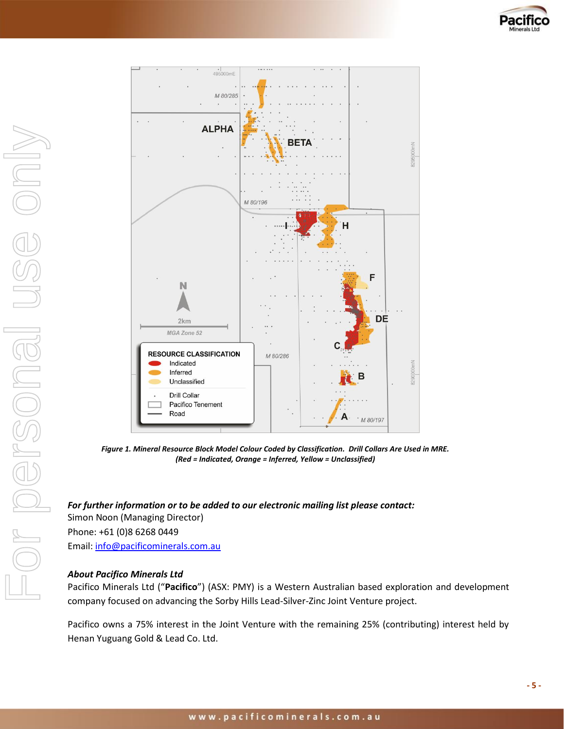



*Figure 1. Mineral Resource Block Model Colour Coded by Classification. Drill Collars Are Used in MRE. (Red = Indicated, Orange = Inferred, Yellow = Unclassified)*

*For further information or to be added to our electronic mailing list please contact:*  Simon Noon (Managing Director) Phone: +61 (0)8 6268 0449 Email[: info@pacificominerals.com.au](mailto:info@pacificominerals.com.au)

#### *About Pacifico Minerals Ltd*

Pacifico Minerals Ltd ("**Pacifico**") (ASX: PMY) is a Western Australian based exploration and development company focused on advancing the Sorby Hills Lead-Silver-Zinc Joint Venture project.

Pacifico owns a 75% interest in the Joint Venture with the remaining 25% (contributing) interest held by Henan Yuguang Gold & Lead Co. Ltd.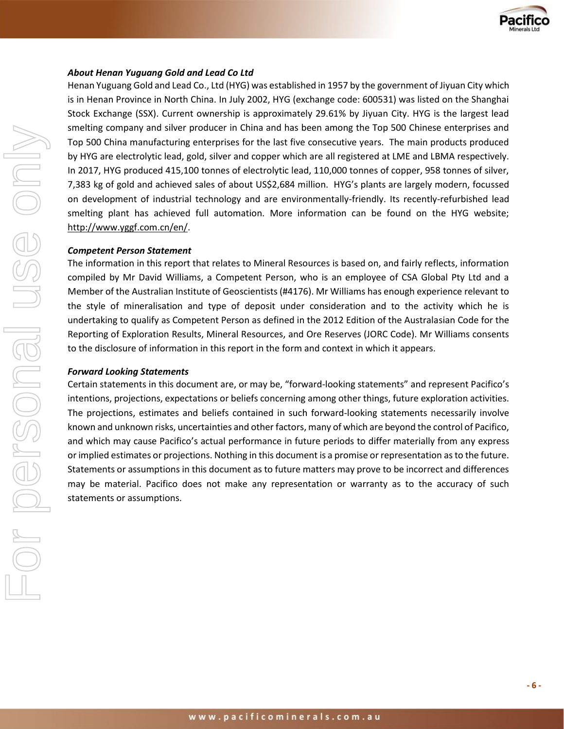

#### *About Henan Yuguang Gold and Lead Co Ltd*

Henan Yuguang Gold and Lead Co., Ltd (HYG) was established in 1957 by the government of Jiyuan City which is in Henan Province in North China. In July 2002, HYG (exchange code: 600531) was listed on the Shanghai Stock Exchange (SSX). Current ownership is approximately 29.61% by Jiyuan City. HYG is the largest lead smelting company and silver producer in China and has been among the Top 500 Chinese enterprises and Top 500 China manufacturing enterprises for the last five consecutive years. The main products produced by HYG are electrolytic lead, gold, silver and copper which are all registered at LME and LBMA respectively. In 2017, HYG produced 415,100 tonnes of electrolytic lead, 110,000 tonnes of copper, 958 tonnes of silver, 7,383 kg of gold and achieved sales of about US\$2,684 million. HYG's plants are largely modern, focussed on development of industrial technology and are environmentally-friendly. Its recently-refurbished lead smelting plant has achieved full automation. More information can be found on the HYG website; http://www.yggf.com.cn/en/.

#### *Competent Person Statement*

The information in this report that relates to Mineral Resources is based on, and fairly reflects, information compiled by Mr David Williams, a Competent Person, who is an employee of CSA Global Pty Ltd and a Member of the Australian Institute of Geoscientists (#4176). Mr Williams has enough experience relevant to the style of mineralisation and type of deposit under consideration and to the activity which he is undertaking to qualify as Competent Person as defined in the 2012 Edition of the Australasian Code for the Reporting of Exploration Results, Mineral Resources, and Ore Reserves (JORC Code). Mr Williams consents to the disclosure of information in this report in the form and context in which it appears.

#### *Forward Looking Statements*

Certain statements in this document are, or may be, "forward-looking statements" and represent Pacifico's intentions, projections, expectations or beliefs concerning among other things, future exploration activities. The projections, estimates and beliefs contained in such forward-looking statements necessarily involve known and unknown risks, uncertainties and other factors, many of which are beyond the control of Pacifico, and which may cause Pacifico's actual performance in future periods to differ materially from any express or implied estimates or projections. Nothing in this document is a promise or representation as to the future. Statements or assumptions in this document as to future matters may prove to be incorrect and differences may be material. Pacifico does not make any representation or warranty as to the accuracy of such statements or assumptions.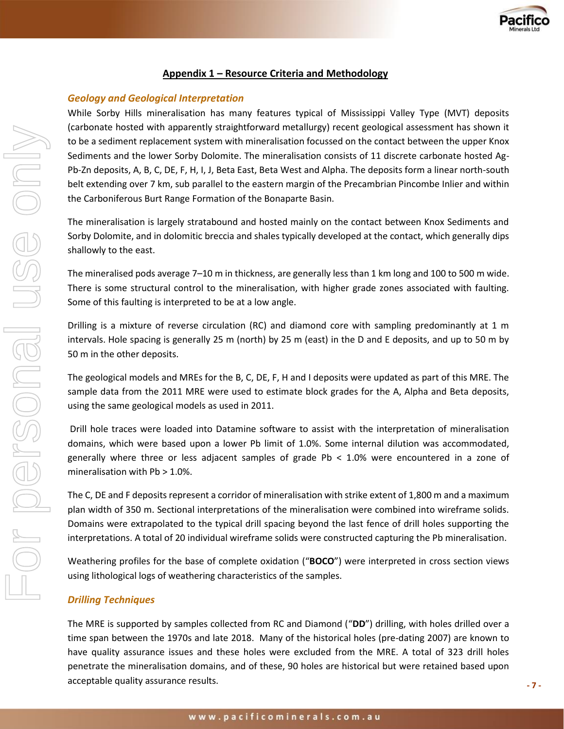

#### **Appendix 1 – Resource Criteria and Methodology**

#### *Geology and Geological Interpretation*

While Sorby Hills mineralisation has many features typical of Mississippi Valley Type (MVT) deposits (carbonate hosted with apparently straightforward metallurgy) recent geological assessment has shown it to be a sediment replacement system with mineralisation focussed on the contact between the upper Knox Sediments and the lower Sorby Dolomite. The mineralisation consists of 11 discrete carbonate hosted Ag-Pb-Zn deposits, A, B, C, DE, F, H, I, J, Beta East, Beta West and Alpha. The deposits form a linear north-south belt extending over 7 km, sub parallel to the eastern margin of the Precambrian Pincombe Inlier and within the Carboniferous Burt Range Formation of the Bonaparte Basin.

The mineralisation is largely stratabound and hosted mainly on the contact between Knox Sediments and Sorby Dolomite, and in dolomitic breccia and shales typically developed at the contact, which generally dips shallowly to the east.

The mineralised pods average 7–10 m in thickness, are generally less than 1 km long and 100 to 500 m wide. There is some structural control to the mineralisation, with higher grade zones associated with faulting. Some of this faulting is interpreted to be at a low angle.

Drilling is a mixture of reverse circulation (RC) and diamond core with sampling predominantly at 1 m intervals. Hole spacing is generally 25 m (north) by 25 m (east) in the D and E deposits, and up to 50 m by 50 m in the other deposits.

The geological models and MREs for the B, C, DE, F, H and I deposits were updated as part of this MRE. The sample data from the 2011 MRE were used to estimate block grades for the A, Alpha and Beta deposits, using the same geological models as used in 2011.

Drill hole traces were loaded into Datamine software to assist with the interpretation of mineralisation domains, which were based upon a lower Pb limit of 1.0%. Some internal dilution was accommodated, generally where three or less adjacent samples of grade Pb < 1.0% were encountered in a zone of mineralisation with  $Pb > 1.0$ %.

The C, DE and F deposits represent a corridor of mineralisation with strike extent of 1,800 m and a maximum plan width of 350 m. Sectional interpretations of the mineralisation were combined into wireframe solids. Domains were extrapolated to the typical drill spacing beyond the last fence of drill holes supporting the interpretations. A total of 20 individual wireframe solids were constructed capturing the Pb mineralisation.

Weathering profiles for the base of complete oxidation ("**BOCO**") were interpreted in cross section views using lithological logs of weathering characteristics of the samples.

#### *Drilling Techniques*

The MRE is supported by samples collected from RC and Diamond ("**DD**") drilling, with holes drilled over a time span between the 1970s and late 2018. Many of the historical holes (pre-dating 2007) are known to have quality assurance issues and these holes were excluded from the MRE. A total of 323 drill holes penetrate the mineralisation domains, and of these, 90 holes are historical but were retained based upon acceptable quality assurance results.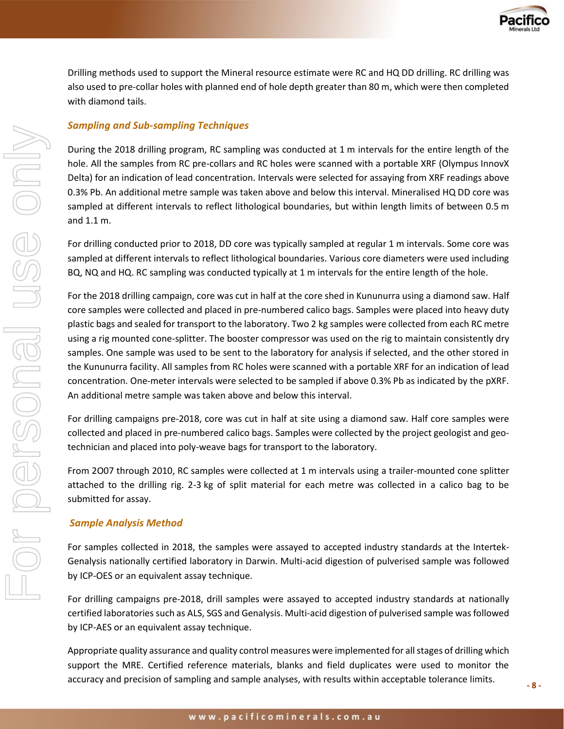

Drilling methods used to support the Mineral resource estimate were RC and HQ DD drilling. RC drilling was also used to pre-collar holes with planned end of hole depth greater than 80 m, which were then completed with diamond tails.

#### *Sampling and Sub-sampling Techniques*

During the 2018 drilling program, RC sampling was conducted at 1 m intervals for the entire length of the hole. All the samples from RC pre-collars and RC holes were scanned with a portable XRF (Olympus InnovX Delta) for an indication of lead concentration. Intervals were selected for assaying from XRF readings above 0.3% Pb. An additional metre sample was taken above and below this interval. Mineralised HQ DD core was sampled at different intervals to reflect lithological boundaries, but within length limits of between 0.5 m and 1.1 m.

For drilling conducted prior to 2018, DD core was typically sampled at regular 1 m intervals. Some core was sampled at different intervals to reflect lithological boundaries. Various core diameters were used including BQ, NQ and HQ. RC sampling was conducted typically at 1 m intervals for the entire length of the hole.

For the 2018 drilling campaign, core was cut in half at the core shed in Kununurra using a diamond saw. Half core samples were collected and placed in pre-numbered calico bags. Samples were placed into heavy duty plastic bags and sealed for transport to the laboratory. Two 2 kg samples were collected from each RC metre using a rig mounted cone-splitter. The booster compressor was used on the rig to maintain consistently dry samples. One sample was used to be sent to the laboratory for analysis if selected, and the other stored in the Kununurra facility. All samples from RC holes were scanned with a portable XRF for an indication of lead concentration. One-meter intervals were selected to be sampled if above 0.3% Pb as indicated by the pXRF. An additional metre sample was taken above and below this interval.

For drilling campaigns pre-2018, core was cut in half at site using a diamond saw. Half core samples were collected and placed in pre-numbered calico bags. Samples were collected by the project geologist and geotechnician and placed into poly-weave bags for transport to the laboratory.

From 2O07 through 2010, RC samples were collected at 1 m intervals using a trailer-mounted cone splitter attached to the drilling rig. 2-3 kg of split material for each metre was collected in a calico bag to be submitted for assay.

#### *Sample Analysis Method*

For samples collected in 2018, the samples were assayed to accepted industry standards at the Intertek-Genalysis nationally certified laboratory in Darwin. Multi-acid digestion of pulverised sample was followed by ICP-OES or an equivalent assay technique.

For drilling campaigns pre-2018, drill samples were assayed to accepted industry standards at nationally certified laboratories such as ALS, SGS and Genalysis. Multi-acid digestion of pulverised sample was followed by ICP-AES or an equivalent assay technique.

Appropriate quality assurance and quality control measures were implemented for all stages of drilling which support the MRE. Certified reference materials, blanks and field duplicates were used to monitor the accuracy and precision of sampling and sample analyses, with results within acceptable tolerance limits.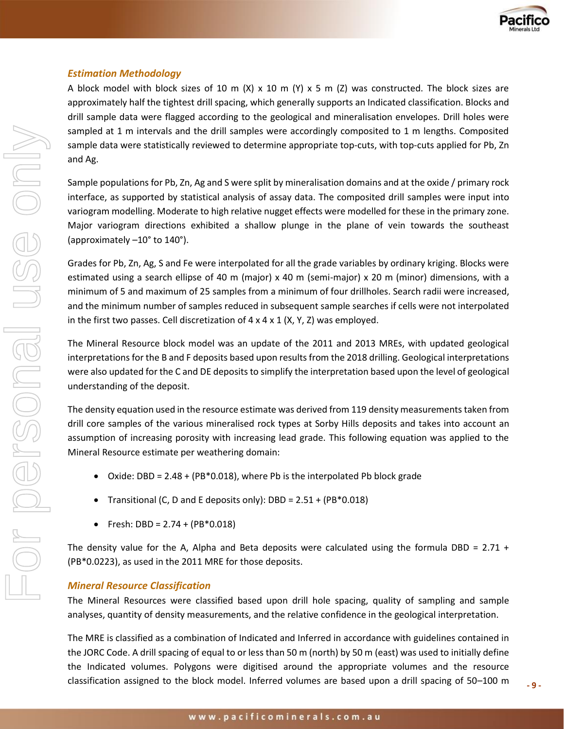

#### *Estimation Methodology*

A block model with block sizes of 10 m (X) x 10 m (Y) x 5 m (Z) was constructed. The block sizes are approximately half the tightest drill spacing, which generally supports an Indicated classification. Blocks and drill sample data were flagged according to the geological and mineralisation envelopes. Drill holes were sampled at 1 m intervals and the drill samples were accordingly composited to 1 m lengths. Composited sample data were statistically reviewed to determine appropriate top-cuts, with top-cuts applied for Pb, Zn and Ag.

Sample populations for Pb, Zn, Ag and S were split by mineralisation domains and at the oxide / primary rock interface, as supported by statistical analysis of assay data. The composited drill samples were input into variogram modelling. Moderate to high relative nugget effects were modelled for these in the primary zone. Major variogram directions exhibited a shallow plunge in the plane of vein towards the southeast (approximately –10° to 140°).

Grades for Pb, Zn, Ag, S and Fe were interpolated for all the grade variables by ordinary kriging. Blocks were estimated using a search ellipse of 40 m (major) x 40 m (semi-major) x 20 m (minor) dimensions, with a minimum of 5 and maximum of 25 samples from a minimum of four drillholes. Search radii were increased, and the minimum number of samples reduced in subsequent sample searches if cells were not interpolated in the first two passes. Cell discretization of  $4 \times 4 \times 1$  (X, Y, Z) was employed.

The Mineral Resource block model was an update of the 2011 and 2013 MREs, with updated geological interpretations for the B and F deposits based upon results from the 2018 drilling. Geological interpretations were also updated for the C and DE deposits to simplify the interpretation based upon the level of geological understanding of the deposit.

The density equation used in the resource estimate was derived from 119 density measurements taken from drill core samples of the various mineralised rock types at Sorby Hills deposits and takes into account an assumption of increasing porosity with increasing lead grade. This following equation was applied to the Mineral Resource estimate per weathering domain:

- Oxide: DBD = 2.48 + (PB\*0.018), where Pb is the interpolated Pb block grade
- Transitional (C, D and E deposits only): DBD = 2.51 + (PB\*0.018)
- Fresh: DBD =  $2.74 + (PB*0.018)$

The density value for the A, Alpha and Beta deposits were calculated using the formula DBD =  $2.71 +$ (PB\*0.0223), as used in the 2011 MRE for those deposits.

#### *Mineral Resource Classification*

The Mineral Resources were classified based upon drill hole spacing, quality of sampling and sample analyses, quantity of density measurements, and the relative confidence in the geological interpretation.

The MRE is classified as a combination of Indicated and Inferred in accordance with guidelines contained in the JORC Code. A drill spacing of equal to or less than 50 m (north) by 50 m (east) was used to initially define the Indicated volumes. Polygons were digitised around the appropriate volumes and the resource classification assigned to the block model. Inferred volumes are based upon a drill spacing of 50–100 m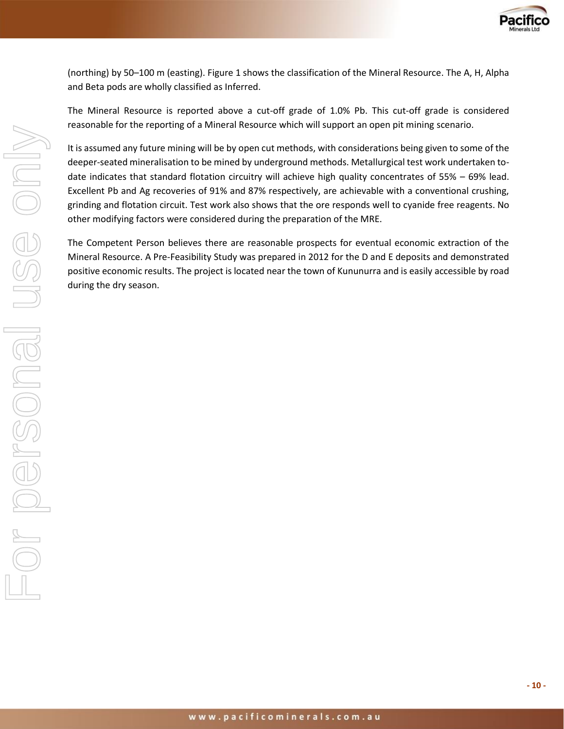

(northing) by 50–100 m (easting). Figure 1 shows the classification of the Mineral Resource. The A, H, Alpha and Beta pods are wholly classified as Inferred.

The Mineral Resource is reported above a cut-off grade of 1.0% Pb. This cut-off grade is considered reasonable for the reporting of a Mineral Resource which will support an open pit mining scenario.

It is assumed any future mining will be by open cut methods, with considerations being given to some of the deeper-seated mineralisation to be mined by underground methods. Metallurgical test work undertaken todate indicates that standard flotation circuitry will achieve high quality concentrates of 55% – 69% lead. Excellent Pb and Ag recoveries of 91% and 87% respectively, are achievable with a conventional crushing, grinding and flotation circuit. Test work also shows that the ore responds well to cyanide free reagents. No other modifying factors were considered during the preparation of the MRE.

The Competent Person believes there are reasonable prospects for eventual economic extraction of the Mineral Resource. A Pre-Feasibility Study was prepared in 2012 for the D and E deposits and demonstrated positive economic results. The project is located near the town of Kununurra and is easily accessible by road during the dry season.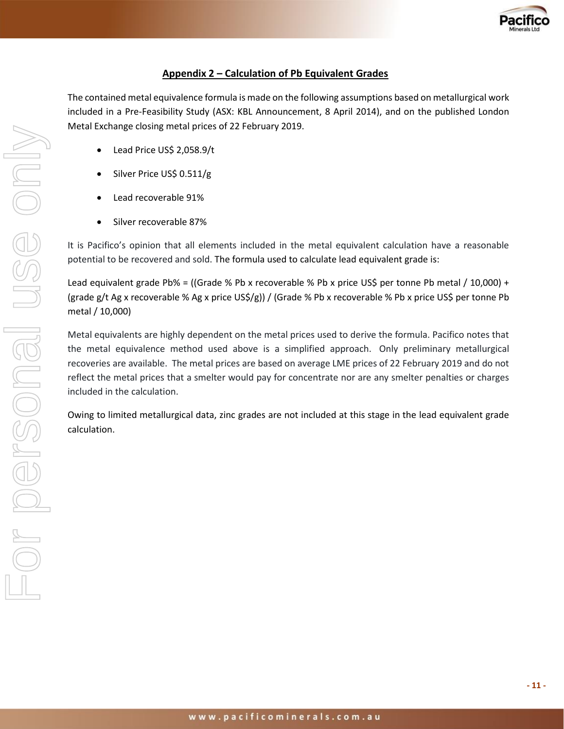

### **Appendix 2 – Calculation of Pb Equivalent Grades**

The contained metal equivalence formula is made on the following assumptions based on metallurgical work included in a Pre-Feasibility Study (ASX: KBL Announcement, 8 April 2014), and on the published London Metal Exchange closing metal prices of 22 February 2019.

- Lead Price US\$ 2,058.9/t
- Silver Price US\$ 0.511/g
- Lead recoverable 91%
- Silver recoverable 87%

It is Pacifico's opinion that all elements included in the metal equivalent calculation have a reasonable potential to be recovered and sold. The formula used to calculate lead equivalent grade is:

Lead equivalent grade Pb% = ((Grade % Pb x recoverable % Pb x price US\$ per tonne Pb metal / 10,000) + (grade g/t Ag x recoverable % Ag x price US\$/g)) / (Grade % Pb x recoverable % Pb x price US\$ per tonne Pb metal / 10,000)

Metal equivalents are highly dependent on the metal prices used to derive the formula. Pacifico notes that the metal equivalence method used above is a simplified approach. Only preliminary metallurgical recoveries are available. The metal prices are based on average LME prices of 22 February 2019 and do not reflect the metal prices that a smelter would pay for concentrate nor are any smelter penalties or charges included in the calculation.

Owing to limited metallurgical data, zinc grades are not included at this stage in the lead equivalent grade calculation.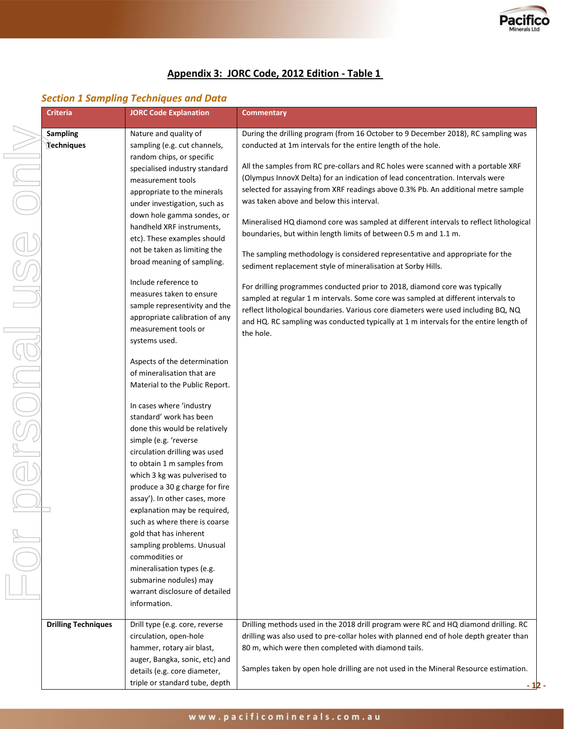

# **Appendix 3: JORC Code, 2012 Edition - Table 1**

#### *Section 1 Sampling Techniques and Data*

| <b>Criteria</b><br><b>JORC Code Explanation</b> |                                                                                                                                             | <b>Commentary</b>                                                                                                                                                                                                                                                                                                                               |
|-------------------------------------------------|---------------------------------------------------------------------------------------------------------------------------------------------|-------------------------------------------------------------------------------------------------------------------------------------------------------------------------------------------------------------------------------------------------------------------------------------------------------------------------------------------------|
| Sampling                                        | Nature and quality of                                                                                                                       | During the drilling program (from 16 October to 9 December 2018), RC sampling was                                                                                                                                                                                                                                                               |
| Techniques                                      | sampling (e.g. cut channels,                                                                                                                | conducted at 1m intervals for the entire length of the hole.                                                                                                                                                                                                                                                                                    |
|                                                 | random chips, or specific<br>specialised industry standard<br>measurement tools<br>appropriate to the minerals                              | All the samples from RC pre-collars and RC holes were scanned with a portable XRF<br>(Olympus InnovX Delta) for an indication of lead concentration. Intervals were<br>selected for assaying from XRF readings above 0.3% Pb. An additional metre sample                                                                                        |
|                                                 | under investigation, such as                                                                                                                | was taken above and below this interval.                                                                                                                                                                                                                                                                                                        |
|                                                 | down hole gamma sondes, or<br>handheld XRF instruments,<br>etc). These examples should                                                      | Mineralised HQ diamond core was sampled at different intervals to reflect lithological<br>boundaries, but within length limits of between 0.5 m and 1.1 m.                                                                                                                                                                                      |
|                                                 | not be taken as limiting the<br>broad meaning of sampling.                                                                                  | The sampling methodology is considered representative and appropriate for the<br>sediment replacement style of mineralisation at Sorby Hills.                                                                                                                                                                                                   |
|                                                 | Include reference to<br>measures taken to ensure<br>sample representivity and the<br>appropriate calibration of any<br>measurement tools or | For drilling programmes conducted prior to 2018, diamond core was typically<br>sampled at regular 1 m intervals. Some core was sampled at different intervals to<br>reflect lithological boundaries. Various core diameters were used including BQ, NQ<br>and HQ. RC sampling was conducted typically at 1 m intervals for the entire length of |
|                                                 | systems used.<br>Aspects of the determination                                                                                               | the hole.                                                                                                                                                                                                                                                                                                                                       |
|                                                 | of mineralisation that are<br>Material to the Public Report.                                                                                |                                                                                                                                                                                                                                                                                                                                                 |
|                                                 | In cases where 'industry<br>standard' work has been<br>done this would be relatively                                                        |                                                                                                                                                                                                                                                                                                                                                 |
|                                                 | simple (e.g. 'reverse<br>circulation drilling was used<br>to obtain 1 m samples from                                                        |                                                                                                                                                                                                                                                                                                                                                 |
|                                                 | which 3 kg was pulverised to<br>produce a 30 g charge for fire<br>assay'). In other cases, more                                             |                                                                                                                                                                                                                                                                                                                                                 |
|                                                 | explanation may be required,<br>such as where there is coarse<br>gold that has inherent                                                     |                                                                                                                                                                                                                                                                                                                                                 |
|                                                 | sampling problems. Unusual<br>commodities or<br>mineralisation types (e.g.                                                                  |                                                                                                                                                                                                                                                                                                                                                 |
|                                                 | submarine nodules) may<br>warrant disclosure of detailed<br>information.                                                                    |                                                                                                                                                                                                                                                                                                                                                 |
| <b>Drilling Techniques</b>                      | Drill type (e.g. core, reverse<br>circulation, open-hole                                                                                    | Drilling methods used in the 2018 drill program were RC and HQ diamond drilling. RC<br>drilling was also used to pre-collar holes with planned end of hole depth greater than                                                                                                                                                                   |
|                                                 | hammer, rotary air blast,<br>auger, Bangka, sonic, etc) and                                                                                 | 80 m, which were then completed with diamond tails.<br>Samples taken by open hole drilling are not used in the Mineral Resource estimation.                                                                                                                                                                                                     |
|                                                 | details (e.g. core diameter,<br>triple or standard tube, depth                                                                              | - 12                                                                                                                                                                                                                                                                                                                                            |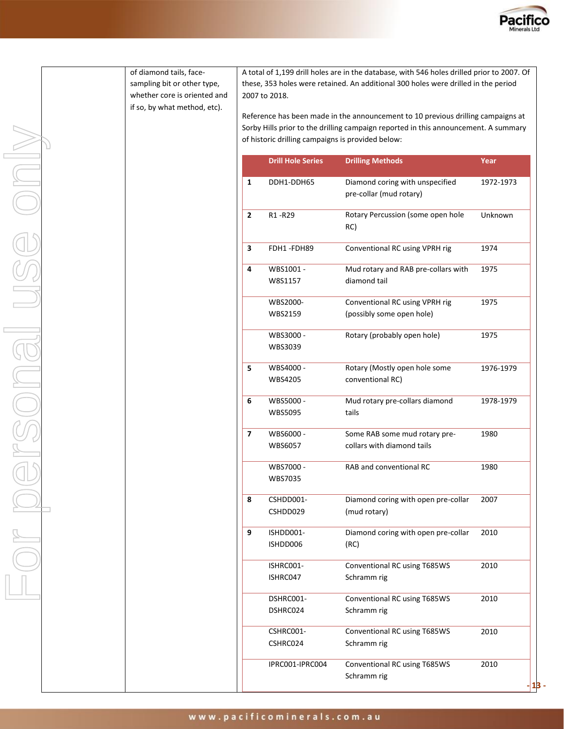

of diamond tails, facesampling bit or other type, whether core is oriented and if so, by what method, etc).

A total of 1,199 drill holes are in the database, with 546 holes drilled prior to 2007. Of these, 353 holes were retained. An additional 300 holes were drilled in the period 2007 to 2018.

Reference has been made in the announcement to 10 previous drilling campaigns at Sorby Hills prior to the drilling campaign reported in this announcement. A summary of historic drilling campaigns is provided below:

|              | <b>Drill Hole Series</b>    | <b>Drilling Methods</b>                                     | Year      |
|--------------|-----------------------------|-------------------------------------------------------------|-----------|
| 1            | DDH1-DDH65                  | Diamond coring with unspecified<br>pre-collar (mud rotary)  | 1972-1973 |
| $\mathbf{2}$ | R1-R29                      | Rotary Percussion (some open hole<br>RC)                    | Unknown   |
| 3            | FDH1-FDH89                  | Conventional RC using VPRH rig                              | 1974      |
| 4            | WBS1001 -<br>W8S1157        | Mud rotary and RAB pre-collars with<br>diamond tail         | 1975      |
|              | WBS2000-<br>WBS2159         | Conventional RC using VPRH rig<br>(possibly some open hole) | 1975      |
|              | WBS3000 -<br>WBS3039        | Rotary (probably open hole)                                 | 1975      |
| 5.           | WBS4000 -<br>WBS4205        | Rotary (Mostly open hole some<br>conventional RC)           | 1976-1979 |
| 6            | WBS5000 -<br><b>WBS5095</b> | Mud rotary pre-collars diamond<br>tails                     | 1978-1979 |
| 7            | WBS6000 -<br>WBS6057        | Some RAB some mud rotary pre-<br>collars with diamond tails | 1980      |
|              | WBS7000 -<br>WBS7035        | RAB and conventional RC                                     | 1980      |
| 8            | CSHDD001-<br>CSHDD029       | Diamond coring with open pre-collar<br>(mud rotary)         | 2007      |
| 9            | ISHDD001-<br>ISHDD006       | Diamond coring with open pre-collar<br>(RC)                 | 2010      |
|              | ISHRC001-<br>ISHRC047       | Conventional RC using T685WS<br>Schramm rig                 | 2010      |
|              | DSHRC001-<br>DSHRC024       | Conventional RC using T685WS<br>Schramm rig                 | 2010      |
|              | CSHRC001-<br>CSHRC024       | Conventional RC using T685WS<br>Schramm rig                 | 2010      |
|              | IPRC001-IPRC004             | Conventional RC using T685WS<br>Schramm rig                 | 2010      |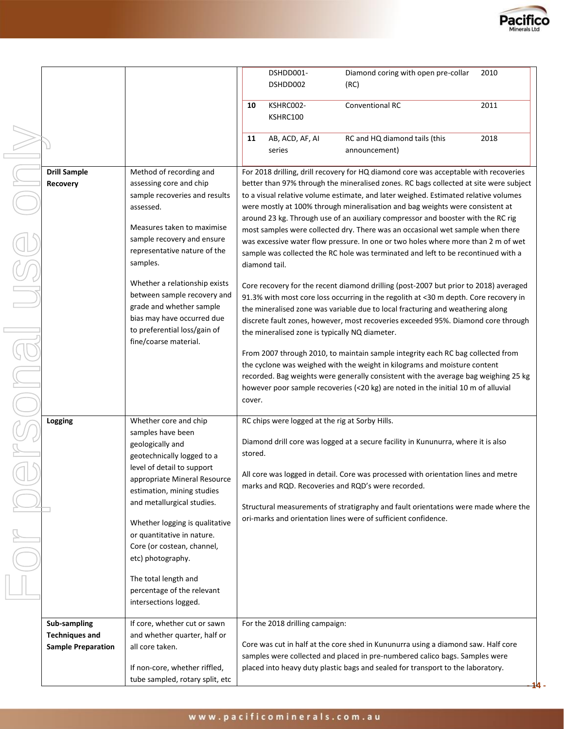

|                                                                    |                                                                                                                                                                                                                                                                                                                                                                                                                          |         | DSHDD001-<br>DSHDD002                                           | Diamond coring with open pre-collar<br>(RC)                                                                                                                                                                                                                                                                                                                                                                                                                                                                                                                                                                                                                                                                                                                                                                                                                                                                                                                                                                                                                                                                                                                                                                                                                                                                                                                                                              | 2010 |
|--------------------------------------------------------------------|--------------------------------------------------------------------------------------------------------------------------------------------------------------------------------------------------------------------------------------------------------------------------------------------------------------------------------------------------------------------------------------------------------------------------|---------|-----------------------------------------------------------------|----------------------------------------------------------------------------------------------------------------------------------------------------------------------------------------------------------------------------------------------------------------------------------------------------------------------------------------------------------------------------------------------------------------------------------------------------------------------------------------------------------------------------------------------------------------------------------------------------------------------------------------------------------------------------------------------------------------------------------------------------------------------------------------------------------------------------------------------------------------------------------------------------------------------------------------------------------------------------------------------------------------------------------------------------------------------------------------------------------------------------------------------------------------------------------------------------------------------------------------------------------------------------------------------------------------------------------------------------------------------------------------------------------|------|
|                                                                    |                                                                                                                                                                                                                                                                                                                                                                                                                          | 10      | KSHRC002-<br>KSHRC100                                           | Conventional RC                                                                                                                                                                                                                                                                                                                                                                                                                                                                                                                                                                                                                                                                                                                                                                                                                                                                                                                                                                                                                                                                                                                                                                                                                                                                                                                                                                                          | 2011 |
|                                                                    |                                                                                                                                                                                                                                                                                                                                                                                                                          | 11      | AB, ACD, AF, AI<br>series                                       | RC and HQ diamond tails (this<br>announcement)                                                                                                                                                                                                                                                                                                                                                                                                                                                                                                                                                                                                                                                                                                                                                                                                                                                                                                                                                                                                                                                                                                                                                                                                                                                                                                                                                           | 2018 |
| <b>Drill Sample</b><br><b>Recovery</b>                             | Method of recording and<br>assessing core and chip<br>sample recoveries and results<br>assessed.<br>Measures taken to maximise<br>sample recovery and ensure<br>representative nature of the<br>samples.<br>Whether a relationship exists<br>between sample recovery and<br>grade and whether sample<br>bias may have occurred due<br>to preferential loss/gain of<br>fine/coarse material.                              | cover.  | diamond tail.<br>the mineralised zone is typically NQ diameter. | For 2018 drilling, drill recovery for HQ diamond core was acceptable with recoveries<br>better than 97% through the mineralised zones. RC bags collected at site were subject<br>to a visual relative volume estimate, and later weighed. Estimated relative volumes<br>were mostly at 100% through mineralisation and bag weights were consistent at<br>around 23 kg. Through use of an auxiliary compressor and booster with the RC rig<br>most samples were collected dry. There was an occasional wet sample when there<br>was excessive water flow pressure. In one or two holes where more than 2 m of wet<br>sample was collected the RC hole was terminated and left to be recontinued with a<br>Core recovery for the recent diamond drilling (post-2007 but prior to 2018) averaged<br>91.3% with most core loss occurring in the regolith at <30 m depth. Core recovery in<br>the mineralised zone was variable due to local fracturing and weathering along<br>discrete fault zones, however, most recoveries exceeded 95%. Diamond core through<br>From 2007 through 2010, to maintain sample integrity each RC bag collected from<br>the cyclone was weighed with the weight in kilograms and moisture content<br>recorded. Bag weights were generally consistent with the average bag weighing 25 kg<br>however poor sample recoveries (<20 kg) are noted in the initial 10 m of alluvial |      |
| Logging                                                            | Whether core and chip<br>samples have been<br>geologically and<br>geotechnically logged to a<br>level of detail to support<br>appropriate Mineral Resource<br>estimation, mining studies<br>and metallurgical studies.<br>Whether logging is qualitative<br>or quantitative in nature.<br>Core (or costean, channel,<br>etc) photography.<br>The total length and<br>percentage of the relevant<br>intersections logged. | stored. | RC chips were logged at the rig at Sorby Hills.                 | Diamond drill core was logged at a secure facility in Kununurra, where it is also<br>All core was logged in detail. Core was processed with orientation lines and metre<br>marks and RQD. Recoveries and RQD's were recorded.<br>Structural measurements of stratigraphy and fault orientations were made where the<br>ori-marks and orientation lines were of sufficient confidence.                                                                                                                                                                                                                                                                                                                                                                                                                                                                                                                                                                                                                                                                                                                                                                                                                                                                                                                                                                                                                    |      |
| Sub-sampling<br><b>Techniques and</b><br><b>Sample Preparation</b> | If core, whether cut or sawn<br>and whether quarter, half or<br>all core taken.<br>If non-core, whether riffled,<br>tube sampled, rotary split, etc                                                                                                                                                                                                                                                                      |         | For the 2018 drilling campaign:                                 | Core was cut in half at the core shed in Kununurra using a diamond saw. Half core<br>samples were collected and placed in pre-numbered calico bags. Samples were<br>placed into heavy duty plastic bags and sealed for transport to the laboratory.                                                                                                                                                                                                                                                                                                                                                                                                                                                                                                                                                                                                                                                                                                                                                                                                                                                                                                                                                                                                                                                                                                                                                      |      |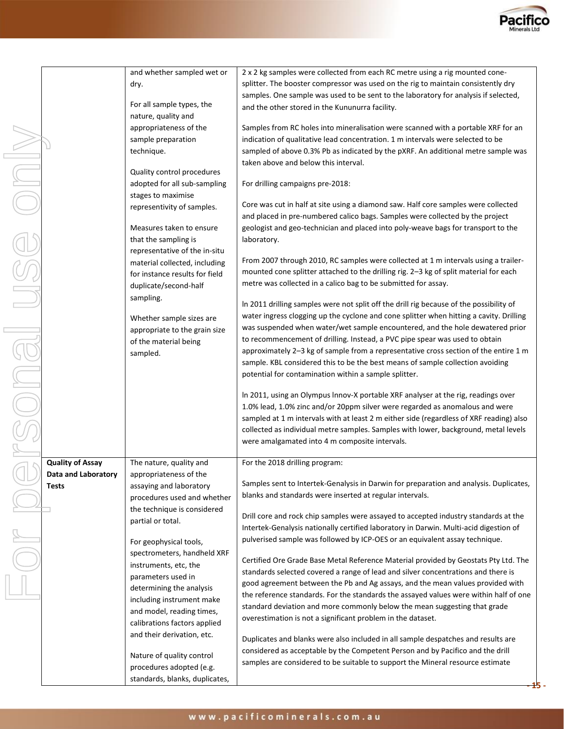

**- 15 -**

|             |                         | and whether sampled wet or                         | 2 x 2 kg samples were collected from each RC metre using a rig mounted cone-            |
|-------------|-------------------------|----------------------------------------------------|-----------------------------------------------------------------------------------------|
|             |                         | dry.                                               | splitter. The booster compressor was used on the rig to maintain consistently dry       |
|             |                         |                                                    | samples. One sample was used to be sent to the laboratory for analysis if selected,     |
|             |                         | For all sample types, the                          | and the other stored in the Kununurra facility.                                         |
|             |                         | nature, quality and                                |                                                                                         |
|             |                         | appropriateness of the                             | Samples from RC holes into mineralisation were scanned with a portable XRF for an       |
|             |                         | sample preparation                                 | indication of qualitative lead concentration. 1 m intervals were selected to be         |
|             |                         | technique.                                         | sampled of above 0.3% Pb as indicated by the pXRF. An additional metre sample was       |
|             |                         |                                                    | taken above and below this interval.                                                    |
|             |                         | Quality control procedures                         |                                                                                         |
| MICIO       |                         | adopted for all sub-sampling<br>stages to maximise | For drilling campaigns pre-2018:                                                        |
|             |                         | representivity of samples.                         | Core was cut in half at site using a diamond saw. Half core samples were collected      |
|             |                         |                                                    | and placed in pre-numbered calico bags. Samples were collected by the project           |
|             |                         | Measures taken to ensure                           | geologist and geo-technician and placed into poly-weave bags for transport to the       |
|             |                         | that the sampling is                               | laboratory.                                                                             |
| UISE        |                         | representative of the in-situ                      |                                                                                         |
|             |                         | material collected, including                      | From 2007 through 2010, RC samples were collected at 1 m intervals using a trailer-     |
|             |                         | for instance results for field                     | mounted cone splitter attached to the drilling rig. 2-3 kg of split material for each   |
|             |                         | duplicate/second-half                              | metre was collected in a calico bag to be submitted for assay.                          |
|             |                         | sampling.                                          |                                                                                         |
|             |                         |                                                    | In 2011 drilling samples were not split off the drill rig because of the possibility of |
|             |                         | Whether sample sizes are                           | water ingress clogging up the cyclone and cone splitter when hitting a cavity. Drilling |
|             |                         | appropriate to the grain size                      | was suspended when water/wet sample encountered, and the hole dewatered prior           |
|             |                         | of the material being                              | to recommencement of drilling. Instead, a PVC pipe spear was used to obtain             |
|             |                         | sampled.                                           | approximately 2-3 kg of sample from a representative cross section of the entire 1 m    |
|             |                         |                                                    | sample. KBL considered this to be the best means of sample collection avoiding          |
|             |                         |                                                    | potential for contamination within a sample splitter.                                   |
| ONG         |                         |                                                    | In 2011, using an Olympus Innov-X portable XRF analyser at the rig, readings over       |
|             |                         |                                                    | 1.0% lead, 1.0% zinc and/or 20ppm silver were regarded as anomalous and were            |
|             |                         |                                                    | sampled at 1 m intervals with at least 2 m either side (regardless of XRF reading) also |
|             |                         |                                                    | collected as individual metre samples. Samples with lower, background, metal levels     |
|             |                         |                                                    | were amalgamated into 4 m composite intervals.                                          |
|             |                         |                                                    |                                                                                         |
|             | <b>Quality of Assay</b> | The nature, quality and                            | For the 2018 drilling program:                                                          |
|             | Data and Laboratory     | appropriateness of the                             |                                                                                         |
|             | Tests                   | assaying and laboratory                            | Samples sent to Intertek-Genalysis in Darwin for preparation and analysis. Duplicates,  |
|             |                         | procedures used and whether                        | blanks and standards were inserted at regular intervals.                                |
|             |                         | the technique is considered                        |                                                                                         |
|             |                         | partial or total.                                  | Drill core and rock chip samples were assayed to accepted industry standards at the     |
|             |                         |                                                    | Intertek-Genalysis nationally certified laboratory in Darwin. Multi-acid digestion of   |
| N<br>O<br>O |                         | For geophysical tools,                             | pulverised sample was followed by ICP-OES or an equivalent assay technique.             |
|             |                         | spectrometers, handheld XRF                        |                                                                                         |
|             |                         | instruments, etc, the                              | Certified Ore Grade Base Metal Reference Material provided by Geostats Pty Ltd. The     |
|             |                         | parameters used in                                 | standards selected covered a range of lead and silver concentrations and there is       |
|             |                         | determining the analysis                           | good agreement between the Pb and Ag assays, and the mean values provided with          |
|             |                         | including instrument make                          | the reference standards. For the standards the assayed values were within half of one   |
|             |                         | and model, reading times,                          | standard deviation and more commonly below the mean suggesting that grade               |
|             |                         | calibrations factors applied                       | overestimation is not a significant problem in the dataset.                             |
|             |                         | and their derivation, etc.                         |                                                                                         |

Nature of quality control procedures adopted (e.g. standards, blanks, duplicates,

Duplicates and blanks were also included in all sample despatches and results are considered as acceptable by the Competent Person and by Pacifico and the drill samples are considered to be suitable to support the Mineral resource estimate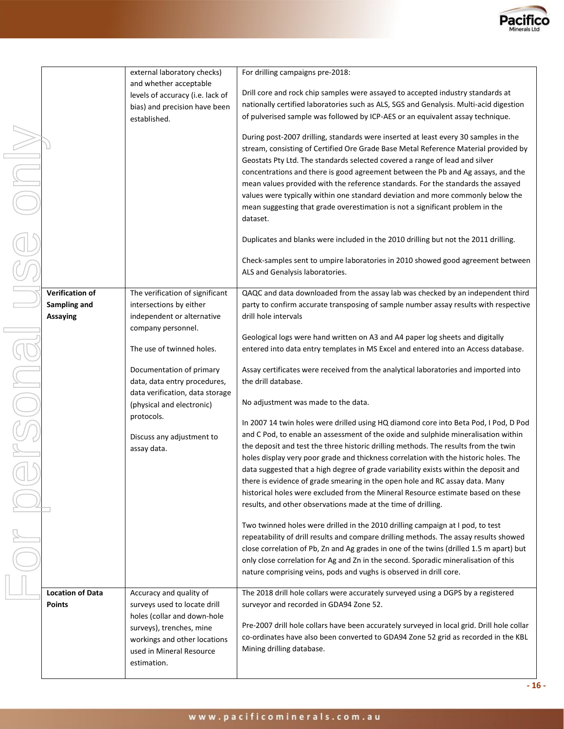

|      |                         | external laboratory checks)      | For drilling campaigns pre-2018:                                                                                                                                        |  |  |  |
|------|-------------------------|----------------------------------|-------------------------------------------------------------------------------------------------------------------------------------------------------------------------|--|--|--|
|      |                         | and whether acceptable           |                                                                                                                                                                         |  |  |  |
|      |                         | levels of accuracy (i.e. lack of | Drill core and rock chip samples were assayed to accepted industry standards at                                                                                         |  |  |  |
|      |                         | bias) and precision have been    | nationally certified laboratories such as ALS, SGS and Genalysis. Multi-acid digestion                                                                                  |  |  |  |
|      |                         | established.                     | of pulverised sample was followed by ICP-AES or an equivalent assay technique.                                                                                          |  |  |  |
|      |                         |                                  | During post-2007 drilling, standards were inserted at least every 30 samples in the                                                                                     |  |  |  |
|      |                         |                                  | stream, consisting of Certified Ore Grade Base Metal Reference Material provided by                                                                                     |  |  |  |
|      |                         |                                  | Geostats Pty Ltd. The standards selected covered a range of lead and silver                                                                                             |  |  |  |
| ININ |                         |                                  | concentrations and there is good agreement between the Pb and Ag assays, and the                                                                                        |  |  |  |
|      |                         |                                  | mean values provided with the reference standards. For the standards the assayed                                                                                        |  |  |  |
|      |                         |                                  | values were typically within one standard deviation and more commonly below the                                                                                         |  |  |  |
|      |                         |                                  | mean suggesting that grade overestimation is not a significant problem in the                                                                                           |  |  |  |
|      |                         |                                  | dataset.                                                                                                                                                                |  |  |  |
|      |                         |                                  | Duplicates and blanks were included in the 2010 drilling but not the 2011 drilling.                                                                                     |  |  |  |
|      |                         |                                  | Check-samples sent to umpire laboratories in 2010 showed good agreement between                                                                                         |  |  |  |
|      |                         |                                  | ALS and Genalysis laboratories.                                                                                                                                         |  |  |  |
|      |                         |                                  |                                                                                                                                                                         |  |  |  |
|      | Verification of         | The verification of significant  | QAQC and data downloaded from the assay lab was checked by an independent third                                                                                         |  |  |  |
|      | Sampling and            | intersections by either          | party to confirm accurate transposing of sample number assay results with respective                                                                                    |  |  |  |
|      | <b>Assaying</b>         | independent or alternative       | drill hole intervals                                                                                                                                                    |  |  |  |
|      |                         | company personnel.               |                                                                                                                                                                         |  |  |  |
|      |                         |                                  | Geological logs were hand written on A3 and A4 paper log sheets and digitally                                                                                           |  |  |  |
|      |                         | The use of twinned holes.        | entered into data entry templates in MS Excel and entered into an Access database.                                                                                      |  |  |  |
|      |                         |                                  |                                                                                                                                                                         |  |  |  |
|      |                         | Documentation of primary         | Assay certificates were received from the analytical laboratories and imported into                                                                                     |  |  |  |
|      |                         | data, data entry procedures,     | the drill database.                                                                                                                                                     |  |  |  |
|      |                         | data verification, data storage  |                                                                                                                                                                         |  |  |  |
|      |                         | (physical and electronic)        | No adjustment was made to the data.                                                                                                                                     |  |  |  |
|      |                         | protocols.                       | In 2007 14 twin holes were drilled using HQ diamond core into Beta Pod, I Pod, D Pod                                                                                    |  |  |  |
|      |                         |                                  | and C Pod, to enable an assessment of the oxide and sulphide mineralisation within                                                                                      |  |  |  |
|      |                         | Discuss any adjustment to        | the deposit and test the three historic drilling methods. The results from the twin                                                                                     |  |  |  |
|      |                         | assay data.                      | holes display very poor grade and thickness correlation with the historic holes. The                                                                                    |  |  |  |
|      |                         |                                  | data suggested that a high degree of grade variability exists within the deposit and                                                                                    |  |  |  |
|      |                         |                                  | there is evidence of grade smearing in the open hole and RC assay data. Many                                                                                            |  |  |  |
|      |                         |                                  | historical holes were excluded from the Mineral Resource estimate based on these                                                                                        |  |  |  |
|      |                         |                                  | results, and other observations made at the time of drilling.                                                                                                           |  |  |  |
|      |                         |                                  |                                                                                                                                                                         |  |  |  |
|      |                         |                                  | Two twinned holes were drilled in the 2010 drilling campaign at I pod, to test<br>repeatability of drill results and compare drilling methods. The assay results showed |  |  |  |
|      |                         |                                  | close correlation of Pb, Zn and Ag grades in one of the twins (drilled 1.5 m apart) but                                                                                 |  |  |  |
|      |                         |                                  |                                                                                                                                                                         |  |  |  |
|      |                         |                                  | only close correlation for Ag and Zn in the second. Sporadic mineralisation of this<br>nature comprising veins, pods and vughs is observed in drill core.               |  |  |  |
|      |                         |                                  |                                                                                                                                                                         |  |  |  |
|      | <b>Location of Data</b> | Accuracy and quality of          | The 2018 drill hole collars were accurately surveyed using a DGPS by a registered                                                                                       |  |  |  |
|      | <b>Points</b>           | surveys used to locate drill     | surveyor and recorded in GDA94 Zone 52.                                                                                                                                 |  |  |  |
|      |                         | holes (collar and down-hole      |                                                                                                                                                                         |  |  |  |
|      |                         | surveys), trenches, mine         | Pre-2007 drill hole collars have been accurately surveyed in local grid. Drill hole collar                                                                              |  |  |  |
|      |                         | workings and other locations     | co-ordinates have also been converted to GDA94 Zone 52 grid as recorded in the KBL                                                                                      |  |  |  |
|      |                         | used in Mineral Resource         | Mining drilling database.                                                                                                                                               |  |  |  |
|      |                         | estimation.                      |                                                                                                                                                                         |  |  |  |
|      |                         |                                  |                                                                                                                                                                         |  |  |  |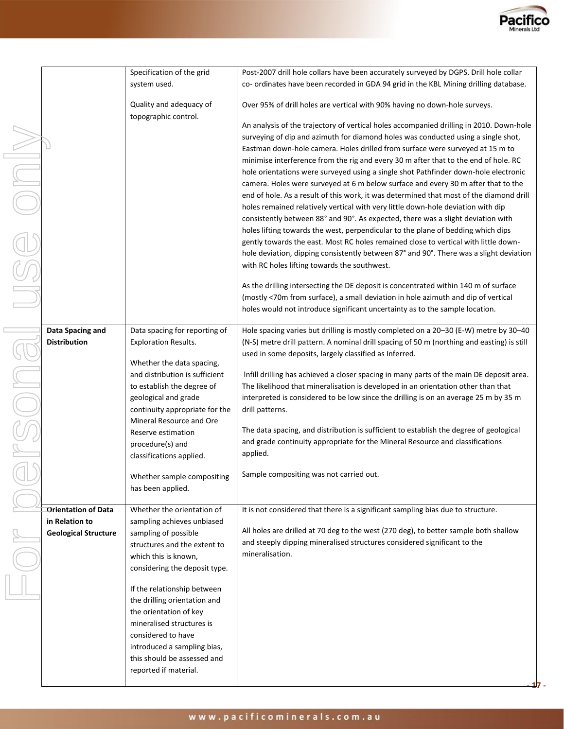

|           |                                                                             | Specification of the grid<br>system used.                                                                                                                                                                                                                                                                             | Post-2007 drill hole collars have been accurately surveyed by DGPS. Drill hole collar<br>co- ordinates have been recorded in GDA 94 grid in the KBL Mining drilling database.                                                                                                                                                                                                                                                                                                                                                                                                                                                                                                                                                                                                                                                                                                                                                                                                                                                                                                                                                                                                                                                                                                                                                                                                        |
|-----------|-----------------------------------------------------------------------------|-----------------------------------------------------------------------------------------------------------------------------------------------------------------------------------------------------------------------------------------------------------------------------------------------------------------------|--------------------------------------------------------------------------------------------------------------------------------------------------------------------------------------------------------------------------------------------------------------------------------------------------------------------------------------------------------------------------------------------------------------------------------------------------------------------------------------------------------------------------------------------------------------------------------------------------------------------------------------------------------------------------------------------------------------------------------------------------------------------------------------------------------------------------------------------------------------------------------------------------------------------------------------------------------------------------------------------------------------------------------------------------------------------------------------------------------------------------------------------------------------------------------------------------------------------------------------------------------------------------------------------------------------------------------------------------------------------------------------|
|           |                                                                             | Quality and adequacy of<br>topographic control.                                                                                                                                                                                                                                                                       | Over 95% of drill holes are vertical with 90% having no down-hole surveys.                                                                                                                                                                                                                                                                                                                                                                                                                                                                                                                                                                                                                                                                                                                                                                                                                                                                                                                                                                                                                                                                                                                                                                                                                                                                                                           |
| TIKO<br>T |                                                                             |                                                                                                                                                                                                                                                                                                                       | An analysis of the trajectory of vertical holes accompanied drilling in 2010. Down-hole<br>surveying of dip and azimuth for diamond holes was conducted using a single shot,<br>Eastman down-hole camera. Holes drilled from surface were surveyed at 15 m to<br>minimise interference from the rig and every 30 m after that to the end of hole. RC<br>hole orientations were surveyed using a single shot Pathfinder down-hole electronic<br>camera. Holes were surveyed at 6 m below surface and every 30 m after that to the<br>end of hole. As a result of this work, it was determined that most of the diamond drill<br>holes remained relatively vertical with very little down-hole deviation with dip<br>consistently between 88° and 90°. As expected, there was a slight deviation with<br>holes lifting towards the west, perpendicular to the plane of bedding which dips<br>gently towards the east. Most RC holes remained close to vertical with little down-<br>hole deviation, dipping consistently between 87° and 90°. There was a slight deviation<br>with RC holes lifting towards the southwest.<br>As the drilling intersecting the DE deposit is concentrated within 140 m of surface<br>(mostly <70m from surface), a small deviation in hole azimuth and dip of vertical<br>holes would not introduce significant uncertainty as to the sample location. |
|           | Data Spacing and<br><b>Distribution</b>                                     | Data spacing for reporting of<br><b>Exploration Results.</b><br>Whether the data spacing,<br>and distribution is sufficient<br>to establish the degree of<br>geological and grade<br>continuity appropriate for the<br>Mineral Resource and Ore<br>Reserve estimation<br>procedure(s) and<br>classifications applied. | Hole spacing varies but drilling is mostly completed on a 20-30 (E-W) metre by 30-40<br>(N-S) metre drill pattern. A nominal drill spacing of 50 m (northing and easting) is still<br>used in some deposits, largely classified as Inferred.<br>Infill drilling has achieved a closer spacing in many parts of the main DE deposit area.<br>The likelihood that mineralisation is developed in an orientation other than that<br>interpreted is considered to be low since the drilling is on an average 25 m by 35 m<br>drill patterns.<br>The data spacing, and distribution is sufficient to establish the degree of geological<br>and grade continuity appropriate for the Mineral Resource and classifications<br>applied.                                                                                                                                                                                                                                                                                                                                                                                                                                                                                                                                                                                                                                                      |
|           |                                                                             | Whether sample compositing<br>has been applied.                                                                                                                                                                                                                                                                       | Sample compositing was not carried out.                                                                                                                                                                                                                                                                                                                                                                                                                                                                                                                                                                                                                                                                                                                                                                                                                                                                                                                                                                                                                                                                                                                                                                                                                                                                                                                                              |
|           | <b>Orientation of Data</b><br>in Relation to<br><b>Geological Structure</b> | Whether the orientation of<br>sampling achieves unbiased<br>sampling of possible<br>structures and the extent to<br>which this is known,<br>considering the deposit type.                                                                                                                                             | It is not considered that there is a significant sampling bias due to structure.<br>All holes are drilled at 70 deg to the west (270 deg), to better sample both shallow<br>and steeply dipping mineralised structures considered significant to the<br>mineralisation.                                                                                                                                                                                                                                                                                                                                                                                                                                                                                                                                                                                                                                                                                                                                                                                                                                                                                                                                                                                                                                                                                                              |
|           |                                                                             | If the relationship between<br>the drilling orientation and<br>the orientation of key<br>mineralised structures is<br>considered to have<br>introduced a sampling bias,<br>this should be assessed and<br>reported if material.                                                                                       |                                                                                                                                                                                                                                                                                                                                                                                                                                                                                                                                                                                                                                                                                                                                                                                                                                                                                                                                                                                                                                                                                                                                                                                                                                                                                                                                                                                      |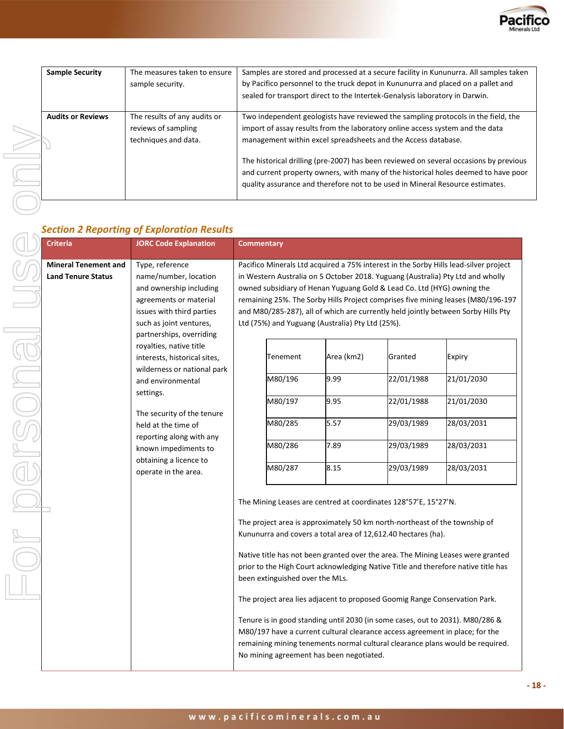

| <b>Sample Security</b>   | The measures taken to ensure<br>sample security.                            | Samples are stored and processed at a secure facility in Kununurra. All samples taken<br>by Pacifico personnel to the truck depot in Kununurra and placed on a pallet and<br>sealed for transport direct to the Intertek-Genalysis laboratory in Darwin.     |
|--------------------------|-----------------------------------------------------------------------------|--------------------------------------------------------------------------------------------------------------------------------------------------------------------------------------------------------------------------------------------------------------|
| <b>Audits or Reviews</b> | The results of any audits or<br>reviews of sampling<br>techniques and data. | Two independent geologists have reviewed the sampling protocols in the field, the<br>import of assay results from the laboratory online access system and the data<br>management within excel spreadsheets and the Access database.                          |
|                          |                                                                             | The historical drilling (pre-2007) has been reviewed on several occasions by previous<br>and current property owners, with many of the historical holes deemed to have poor<br>quality assurance and therefore not to be used in Mineral Resource estimates. |

## *Section 2 Reporting of Exploration Results*

| <b>Criteria</b>                                          | <b>JORC Code Explanation</b>                                                                                                                                                                                                                                                                                                                                                                                                                                                                                                                                                                                                           | <b>Commentary</b>                                                                                                                                                                                                                                                                                                                                                                                                                                                                                       |  |                      |                       |                      |              |                          |                                    |                          |                          |
|----------------------------------------------------------|----------------------------------------------------------------------------------------------------------------------------------------------------------------------------------------------------------------------------------------------------------------------------------------------------------------------------------------------------------------------------------------------------------------------------------------------------------------------------------------------------------------------------------------------------------------------------------------------------------------------------------------|---------------------------------------------------------------------------------------------------------------------------------------------------------------------------------------------------------------------------------------------------------------------------------------------------------------------------------------------------------------------------------------------------------------------------------------------------------------------------------------------------------|--|----------------------|-----------------------|----------------------|--------------|--------------------------|------------------------------------|--------------------------|--------------------------|
| <b>Mineral Tenement and</b><br><b>Land Tenure Status</b> | Type, reference<br>Pacifico Minerals Ltd acquired a 75% interest in the Sorby Hills lead-silver project<br>name/number, location<br>in Western Australia on 5 October 2018. Yuguang (Australia) Pty Ltd and wholly<br>owned subsidiary of Henan Yuguang Gold & Lead Co. Ltd (HYG) owning the<br>and ownership including<br>agreements or material<br>remaining 25%. The Sorby Hills Project comprises five mining leases (M80/196-197<br>issues with third parties<br>and M80/285-287), all of which are currently held jointly between Sorby Hills Pty<br>such as joint ventures,<br>Ltd (75%) and Yuguang (Australia) Pty Ltd (25%). |                                                                                                                                                                                                                                                                                                                                                                                                                                                                                                         |  |                      |                       |                      |              |                          |                                    |                          |                          |
|                                                          | partnerships, overriding<br>royalties, native title<br>interests, historical sites,<br>wilderness or national park<br>and environmental                                                                                                                                                                                                                                                                                                                                                                                                                                                                                                | Tenement<br>M80/196                                                                                                                                                                                                                                                                                                                                                                                                                                                                                     |  | Area (km2)<br>9.99   | Granted<br>22/01/1988 | Expiry<br>21/01/2030 |              |                          |                                    |                          |                          |
|                                                          | settings.<br>The security of the tenure<br>held at the time of<br>reporting along with any<br>known impediments to<br>obtaining a licence to                                                                                                                                                                                                                                                                                                                                                                                                                                                                                           |                                                                                                                                                                                                                                                                                                                                                                                                                                                                                                         |  | operate in the area. |                       |                      |              |                          | M80/197<br>9.95<br>M80/285<br>5.57 | 22/01/1988<br>29/03/1989 | 21/01/2030<br>28/03/2031 |
|                                                          |                                                                                                                                                                                                                                                                                                                                                                                                                                                                                                                                                                                                                                        |                                                                                                                                                                                                                                                                                                                                                                                                                                                                                                         |  |                      | M80/286<br>M80/287    |                      | 7.89<br>8.15 | 29/03/1989<br>29/03/1989 | 28/03/2031<br>28/03/2031           |                          |                          |
|                                                          |                                                                                                                                                                                                                                                                                                                                                                                                                                                                                                                                                                                                                                        | The Mining Leases are centred at coordinates 128°57'E, 15°27'N.<br>The project area is approximately 50 km north-northeast of the township of<br>Kununurra and covers a total area of 12,612.40 hectares (ha).<br>Native title has not been granted over the area. The Mining Leases were granted<br>prior to the High Court acknowledging Native Title and therefore native title has<br>been extinguished over the MLs.<br>The project area lies adjacent to proposed Goomig Range Conservation Park. |  |                      |                       |                      |              |                          |                                    |                          |                          |
|                                                          |                                                                                                                                                                                                                                                                                                                                                                                                                                                                                                                                                                                                                                        |                                                                                                                                                                                                                                                                                                                                                                                                                                                                                                         |  |                      |                       |                      |              |                          |                                    |                          |                          |
|                                                          |                                                                                                                                                                                                                                                                                                                                                                                                                                                                                                                                                                                                                                        | Tenure is in good standing until 2030 (in some cases, out to 2031). M80/286 &<br>M80/197 have a current cultural clearance access agreement in place; for the<br>remaining mining tenements normal cultural clearance plans would be required.<br>No mining agreement has been negotiated.                                                                                                                                                                                                              |  |                      |                       |                      |              |                          |                                    |                          |                          |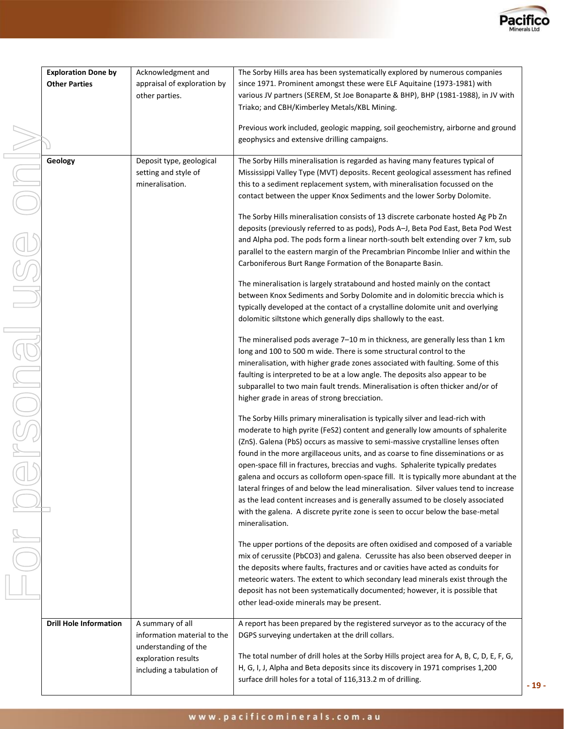

**- 19 -**

|              | <b>Exploration Done by</b>    | Acknowledgment and                          | The Sorby Hills area has been systematically explored by numerous companies              |  |
|--------------|-------------------------------|---------------------------------------------|------------------------------------------------------------------------------------------|--|
|              | <b>Other Parties</b>          | appraisal of exploration by                 | since 1971. Prominent amongst these were ELF Aquitaine (1973-1981) with                  |  |
|              |                               | other parties.                              | various JV partners (SEREM, St Joe Bonaparte & BHP), BHP (1981-1988), in JV with         |  |
|              |                               |                                             | Triako; and CBH/Kimberley Metals/KBL Mining.                                             |  |
|              |                               |                                             |                                                                                          |  |
|              |                               |                                             | Previous work included, geologic mapping, soil geochemistry, airborne and ground         |  |
|              |                               |                                             | geophysics and extensive drilling campaigns.                                             |  |
|              |                               |                                             |                                                                                          |  |
|              | Geology                       | Deposit type, geological                    | The Sorby Hills mineralisation is regarded as having many features typical of            |  |
|              |                               | setting and style of                        | Mississippi Valley Type (MVT) deposits. Recent geological assessment has refined         |  |
|              |                               | mineralisation.                             | this to a sediment replacement system, with mineralisation focussed on the               |  |
|              |                               |                                             | contact between the upper Knox Sediments and the lower Sorby Dolomite.                   |  |
|              |                               |                                             |                                                                                          |  |
|              |                               |                                             | The Sorby Hills mineralisation consists of 13 discrete carbonate hosted Ag Pb Zn         |  |
|              |                               |                                             | deposits (previously referred to as pods), Pods A-J, Beta Pod East, Beta Pod West        |  |
|              |                               |                                             | and Alpha pod. The pods form a linear north-south belt extending over 7 km, sub          |  |
|              |                               |                                             | parallel to the eastern margin of the Precambrian Pincombe Inlier and within the         |  |
|              |                               |                                             | Carboniferous Burt Range Formation of the Bonaparte Basin.                               |  |
| JSE          |                               |                                             |                                                                                          |  |
|              |                               |                                             | The mineralisation is largely stratabound and hosted mainly on the contact               |  |
|              |                               |                                             | between Knox Sediments and Sorby Dolomite and in dolomitic breccia which is              |  |
|              |                               |                                             | typically developed at the contact of a crystalline dolomite unit and overlying          |  |
|              |                               |                                             | dolomitic siltstone which generally dips shallowly to the east.                          |  |
|              |                               |                                             |                                                                                          |  |
|              |                               |                                             | The mineralised pods average 7-10 m in thickness, are generally less than 1 km           |  |
|              |                               |                                             | long and 100 to 500 m wide. There is some structural control to the                      |  |
|              |                               |                                             | mineralisation, with higher grade zones associated with faulting. Some of this           |  |
|              |                               |                                             | faulting is interpreted to be at a low angle. The deposits also appear to be             |  |
|              |                               |                                             | subparallel to two main fault trends. Mineralisation is often thicker and/or of          |  |
|              |                               |                                             |                                                                                          |  |
| <b>PUICE</b> |                               |                                             | higher grade in areas of strong brecciation.                                             |  |
|              |                               |                                             | The Sorby Hills primary mineralisation is typically silver and lead-rich with            |  |
|              |                               |                                             | moderate to high pyrite (FeS2) content and generally low amounts of sphalerite           |  |
|              |                               |                                             | (ZnS). Galena (PbS) occurs as massive to semi-massive crystalline lenses often           |  |
|              |                               |                                             |                                                                                          |  |
|              |                               |                                             | found in the more argillaceous units, and as coarse to fine disseminations or as         |  |
|              |                               |                                             | open-space fill in fractures, breccias and vughs. Sphalerite typically predates          |  |
|              |                               |                                             | galena and occurs as colloform open-space fill. It is typically more abundant at the     |  |
|              |                               |                                             | lateral fringes of and below the lead mineralisation. Silver values tend to increase     |  |
|              |                               |                                             | as the lead content increases and is generally assumed to be closely associated          |  |
|              |                               |                                             | with the galena. A discrete pyrite zone is seen to occur below the base-metal            |  |
|              |                               |                                             | mineralisation.                                                                          |  |
|              |                               |                                             |                                                                                          |  |
|              |                               |                                             | The upper portions of the deposits are often oxidised and composed of a variable         |  |
|              |                               |                                             | mix of cerussite (PbCO3) and galena. Cerussite has also been observed deeper in          |  |
|              |                               |                                             | the deposits where faults, fractures and or cavities have acted as conduits for          |  |
|              |                               |                                             | meteoric waters. The extent to which secondary lead minerals exist through the           |  |
|              |                               |                                             | deposit has not been systematically documented; however, it is possible that             |  |
|              |                               |                                             | other lead-oxide minerals may be present.                                                |  |
|              |                               |                                             |                                                                                          |  |
|              | <b>Drill Hole Information</b> | A summary of all                            | A report has been prepared by the registered surveyor as to the accuracy of the          |  |
|              |                               | information material to the                 | DGPS surveying undertaken at the drill collars.                                          |  |
|              |                               | understanding of the<br>exploration results |                                                                                          |  |
|              |                               |                                             | The total number of drill holes at the Sorby Hills project area for A, B, C, D, E, F, G, |  |
|              |                               | including a tabulation of                   | H, G, I, J, Alpha and Beta deposits since its discovery in 1971 comprises 1,200          |  |
|              |                               |                                             | surface drill holes for a total of 116,313.2 m of drilling.                              |  |
|              |                               |                                             |                                                                                          |  |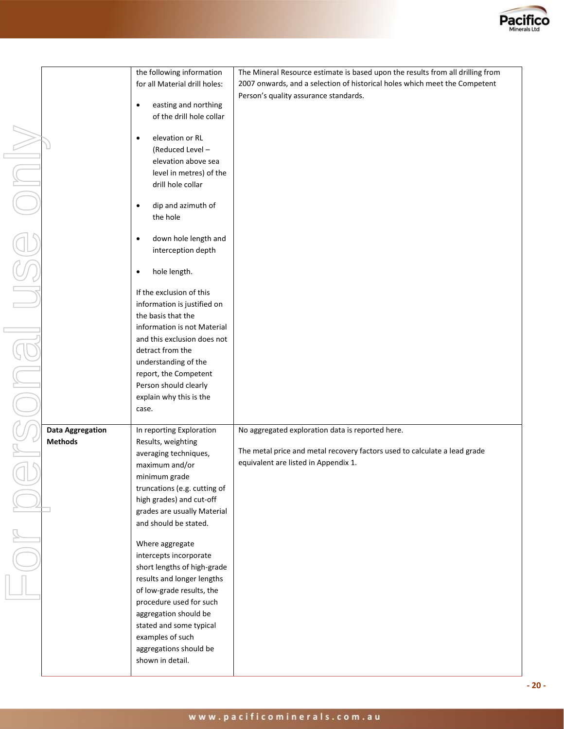

|                         | the following information                   | The Mineral Resource estimate is based upon the results from all drilling from |
|-------------------------|---------------------------------------------|--------------------------------------------------------------------------------|
|                         | for all Material drill holes:               | 2007 onwards, and a selection of historical holes which meet the Competent     |
|                         |                                             | Person's quality assurance standards.                                          |
|                         | easting and northing<br>$\bullet$           |                                                                                |
|                         | of the drill hole collar                    |                                                                                |
|                         |                                             |                                                                                |
|                         | elevation or RL<br>$\bullet$                |                                                                                |
|                         | (Reduced Level -                            |                                                                                |
|                         | elevation above sea                         |                                                                                |
|                         | level in metres) of the                     |                                                                                |
|                         | drill hole collar                           |                                                                                |
|                         |                                             |                                                                                |
|                         | dip and azimuth of<br>$\bullet$<br>the hole |                                                                                |
|                         |                                             |                                                                                |
|                         | down hole length and<br>$\bullet$           |                                                                                |
|                         | interception depth                          |                                                                                |
|                         |                                             |                                                                                |
|                         | hole length.<br>$\bullet$                   |                                                                                |
|                         |                                             |                                                                                |
|                         | If the exclusion of this                    |                                                                                |
|                         | information is justified on                 |                                                                                |
|                         | the basis that the                          |                                                                                |
|                         | information is not Material                 |                                                                                |
|                         | and this exclusion does not                 |                                                                                |
|                         | detract from the                            |                                                                                |
|                         | understanding of the                        |                                                                                |
|                         | report, the Competent                       |                                                                                |
|                         | Person should clearly                       |                                                                                |
|                         | explain why this is the                     |                                                                                |
|                         | case.                                       |                                                                                |
| <b>Data Aggregation</b> | In reporting Exploration                    | No aggregated exploration data is reported here.                               |
| <b>Methods</b>          | Results, weighting                          |                                                                                |
|                         | averaging techniques,                       | The metal price and metal recovery factors used to calculate a lead grade      |
|                         | maximum and/or                              | equivalent are listed in Appendix 1.                                           |
|                         | minimum grade                               |                                                                                |
|                         | truncations (e.g. cutting of                |                                                                                |
|                         | high grades) and cut-off                    |                                                                                |
|                         | grades are usually Material                 |                                                                                |
|                         | and should be stated.                       |                                                                                |
|                         |                                             |                                                                                |
|                         | Where aggregate                             |                                                                                |
|                         | intercepts incorporate                      |                                                                                |
|                         | short lengths of high-grade                 |                                                                                |
|                         | results and longer lengths                  |                                                                                |
|                         | of low-grade results, the                   |                                                                                |
|                         | procedure used for such                     |                                                                                |
|                         | aggregation should be                       |                                                                                |
|                         | stated and some typical<br>examples of such |                                                                                |
|                         | aggregations should be                      |                                                                                |
|                         | shown in detail.                            |                                                                                |
|                         |                                             |                                                                                |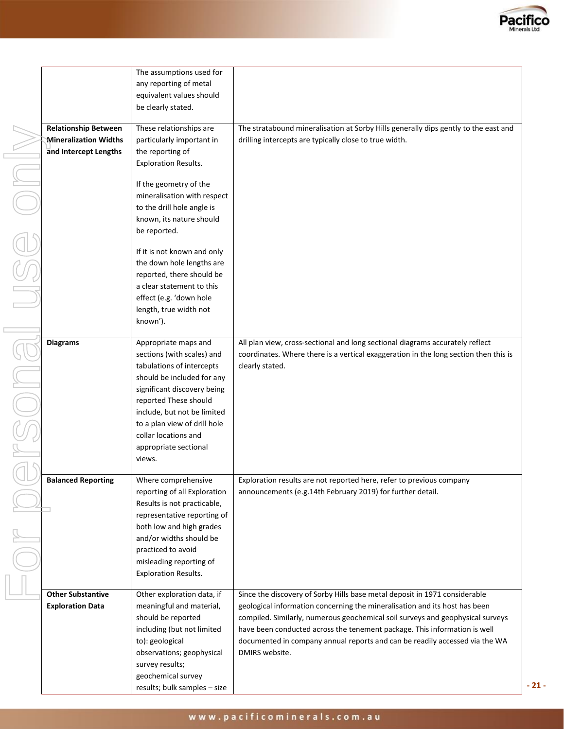

|                                                                                      | The assumptions used for<br>any reporting of metal<br>equivalent values should<br>be clearly stated.                                                                                                                                                                                                                                                                                                                              |                                                                                                                                                                                                                                                                                                                                                                                                                          |
|--------------------------------------------------------------------------------------|-----------------------------------------------------------------------------------------------------------------------------------------------------------------------------------------------------------------------------------------------------------------------------------------------------------------------------------------------------------------------------------------------------------------------------------|--------------------------------------------------------------------------------------------------------------------------------------------------------------------------------------------------------------------------------------------------------------------------------------------------------------------------------------------------------------------------------------------------------------------------|
| <b>Relationship Between</b><br><b>Mineralization Widths</b><br>and Intercept Lengths | These relationships are<br>particularly important in<br>the reporting of<br><b>Exploration Results.</b><br>If the geometry of the<br>mineralisation with respect<br>to the drill hole angle is<br>known, its nature should<br>be reported.<br>If it is not known and only<br>the down hole lengths are<br>reported, there should be<br>a clear statement to this<br>effect (e.g. 'down hole<br>length, true width not<br>known'). | The stratabound mineralisation at Sorby Hills generally dips gently to the east and<br>drilling intercepts are typically close to true width.                                                                                                                                                                                                                                                                            |
| <b>Diagrams</b>                                                                      | Appropriate maps and<br>sections (with scales) and<br>tabulations of intercepts<br>should be included for any<br>significant discovery being<br>reported These should<br>include, but not be limited<br>to a plan view of drill hole<br>collar locations and<br>appropriate sectional<br>views.                                                                                                                                   | All plan view, cross-sectional and long sectional diagrams accurately reflect<br>coordinates. Where there is a vertical exaggeration in the long section then this is<br>clearly stated.                                                                                                                                                                                                                                 |
| <b>Balanced Reporting</b>                                                            | Where comprehensive<br>reporting of all Exploration<br>Results is not practicable,<br>representative reporting of<br>both low and high grades<br>and/or widths should be<br>practiced to avoid<br>misleading reporting of<br><b>Exploration Results.</b>                                                                                                                                                                          | Exploration results are not reported here, refer to previous company<br>announcements (e.g.14th February 2019) for further detail.                                                                                                                                                                                                                                                                                       |
| <b>Other Substantive</b><br><b>Exploration Data</b>                                  | Other exploration data, if<br>meaningful and material,<br>should be reported<br>including (but not limited<br>to): geological<br>observations; geophysical<br>survey results;<br>geochemical survey                                                                                                                                                                                                                               | Since the discovery of Sorby Hills base metal deposit in 1971 considerable<br>geological information concerning the mineralisation and its host has been<br>compiled. Similarly, numerous geochemical soil surveys and geophysical surveys<br>have been conducted across the tenement package. This information is well<br>documented in company annual reports and can be readily accessed via the WA<br>DMIRS website. |

results; bulk samples – size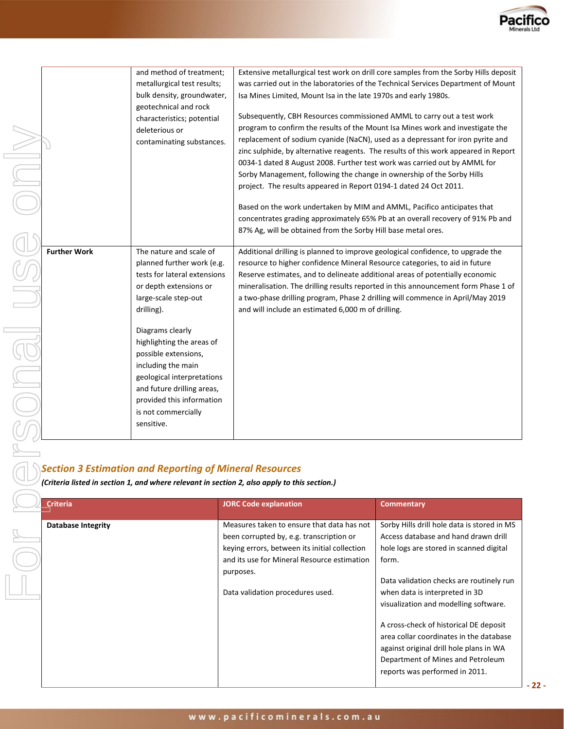

rsonal use only For personal use only $\bigcirc$  $\begin{picture}(45,4) \put(0,0){\line(1,0){155}} \put(15,0){\line(1,0){155}} \put(15,0){\line(1,0){155}} \put(15,0){\line(1,0){155}} \put(15,0){\line(1,0){155}} \put(15,0){\line(1,0){155}} \put(15,0){\line(1,0){155}} \put(15,0){\line(1,0){155}} \put(15,0){\line(1,0){155}} \put(15,0){\line(1,0){155}} \put(15,0){\line(1,0){155}} \put$ 

|                     | and method of treatment;                                                                           | Extensive metallurgical test work on drill core samples from the Sorby Hills deposit                                                                                                                                                                                                                                                                                                                                                                                                                                                                                                                                                                                                                                                                                                        |
|---------------------|----------------------------------------------------------------------------------------------------|---------------------------------------------------------------------------------------------------------------------------------------------------------------------------------------------------------------------------------------------------------------------------------------------------------------------------------------------------------------------------------------------------------------------------------------------------------------------------------------------------------------------------------------------------------------------------------------------------------------------------------------------------------------------------------------------------------------------------------------------------------------------------------------------|
|                     | metallurgical test results;                                                                        | was carried out in the laboratories of the Technical Services Department of Mount                                                                                                                                                                                                                                                                                                                                                                                                                                                                                                                                                                                                                                                                                                           |
|                     | bulk density, groundwater,                                                                         | Isa Mines Limited, Mount Isa in the late 1970s and early 1980s.                                                                                                                                                                                                                                                                                                                                                                                                                                                                                                                                                                                                                                                                                                                             |
|                     | geotechnical and rock<br>characteristics; potential<br>deleterious or<br>contaminating substances. | Subsequently, CBH Resources commissioned AMML to carry out a test work<br>program to confirm the results of the Mount Isa Mines work and investigate the<br>replacement of sodium cyanide (NaCN), used as a depressant for iron pyrite and<br>zinc sulphide, by alternative reagents. The results of this work appeared in Report<br>0034-1 dated 8 August 2008. Further test work was carried out by AMML for<br>Sorby Management, following the change in ownership of the Sorby Hills<br>project. The results appeared in Report 0194-1 dated 24 Oct 2011.<br>Based on the work undertaken by MIM and AMML, Pacifico anticipates that<br>concentrates grading approximately 65% Pb at an overall recovery of 91% Pb and<br>87% Ag, will be obtained from the Sorby Hill base metal ores. |
|                     | The nature and scale of                                                                            |                                                                                                                                                                                                                                                                                                                                                                                                                                                                                                                                                                                                                                                                                                                                                                                             |
| <b>Further Work</b> | planned further work (e.g.                                                                         | Additional drilling is planned to improve geological confidence, to upgrade the<br>resource to higher confidence Mineral Resource categories, to aid in future                                                                                                                                                                                                                                                                                                                                                                                                                                                                                                                                                                                                                              |
|                     | tests for lateral extensions                                                                       | Reserve estimates, and to delineate additional areas of potentially economic                                                                                                                                                                                                                                                                                                                                                                                                                                                                                                                                                                                                                                                                                                                |
|                     | or depth extensions or                                                                             | mineralisation. The drilling results reported in this announcement form Phase 1 of                                                                                                                                                                                                                                                                                                                                                                                                                                                                                                                                                                                                                                                                                                          |
|                     | large-scale step-out                                                                               | a two-phase drilling program, Phase 2 drilling will commence in April/May 2019                                                                                                                                                                                                                                                                                                                                                                                                                                                                                                                                                                                                                                                                                                              |
|                     | drilling).                                                                                         | and will include an estimated 6,000 m of drilling.                                                                                                                                                                                                                                                                                                                                                                                                                                                                                                                                                                                                                                                                                                                                          |
|                     |                                                                                                    |                                                                                                                                                                                                                                                                                                                                                                                                                                                                                                                                                                                                                                                                                                                                                                                             |
|                     | Diagrams clearly                                                                                   |                                                                                                                                                                                                                                                                                                                                                                                                                                                                                                                                                                                                                                                                                                                                                                                             |
|                     | highlighting the areas of                                                                          |                                                                                                                                                                                                                                                                                                                                                                                                                                                                                                                                                                                                                                                                                                                                                                                             |
|                     | possible extensions,                                                                               |                                                                                                                                                                                                                                                                                                                                                                                                                                                                                                                                                                                                                                                                                                                                                                                             |
|                     | including the main                                                                                 |                                                                                                                                                                                                                                                                                                                                                                                                                                                                                                                                                                                                                                                                                                                                                                                             |
|                     | geological interpretations                                                                         |                                                                                                                                                                                                                                                                                                                                                                                                                                                                                                                                                                                                                                                                                                                                                                                             |
|                     | and future drilling areas,                                                                         |                                                                                                                                                                                                                                                                                                                                                                                                                                                                                                                                                                                                                                                                                                                                                                                             |
|                     | provided this information                                                                          |                                                                                                                                                                                                                                                                                                                                                                                                                                                                                                                                                                                                                                                                                                                                                                                             |
|                     | is not commercially<br>sensitive.                                                                  |                                                                                                                                                                                                                                                                                                                                                                                                                                                                                                                                                                                                                                                                                                                                                                                             |
|                     |                                                                                                    |                                                                                                                                                                                                                                                                                                                                                                                                                                                                                                                                                                                                                                                                                                                                                                                             |
|                     |                                                                                                    |                                                                                                                                                                                                                                                                                                                                                                                                                                                                                                                                                                                                                                                                                                                                                                                             |

# **Section 3 Estimation and Reporting of Mineral Resources**<br>*Criteria listed in section 1, and where relevant in section 2, also annly to this*

*(Criteria listed in section 1, and where relevant in section 2, also apply to this section.)*

| <b>Criteria</b>    | <b>JORC Code explanation</b>                                                                                                                                                                                                            | <b>Commentary</b>                                                                                                                                                                                                                                                                                                                                                                                                                                                     |
|--------------------|-----------------------------------------------------------------------------------------------------------------------------------------------------------------------------------------------------------------------------------------|-----------------------------------------------------------------------------------------------------------------------------------------------------------------------------------------------------------------------------------------------------------------------------------------------------------------------------------------------------------------------------------------------------------------------------------------------------------------------|
| Database Integrity | Measures taken to ensure that data has not<br>been corrupted by, e.g. transcription or<br>keying errors, between its initial collection<br>and its use for Mineral Resource estimation<br>purposes.<br>Data validation procedures used. | Sorby Hills drill hole data is stored in MS<br>Access database and hand drawn drill<br>hole logs are stored in scanned digital<br>form.<br>Data validation checks are routinely run<br>when data is interpreted in 3D<br>visualization and modelling software.<br>A cross-check of historical DE deposit<br>area collar coordinates in the database<br>against original drill hole plans in WA<br>Department of Mines and Petroleum<br>reports was performed in 2011. |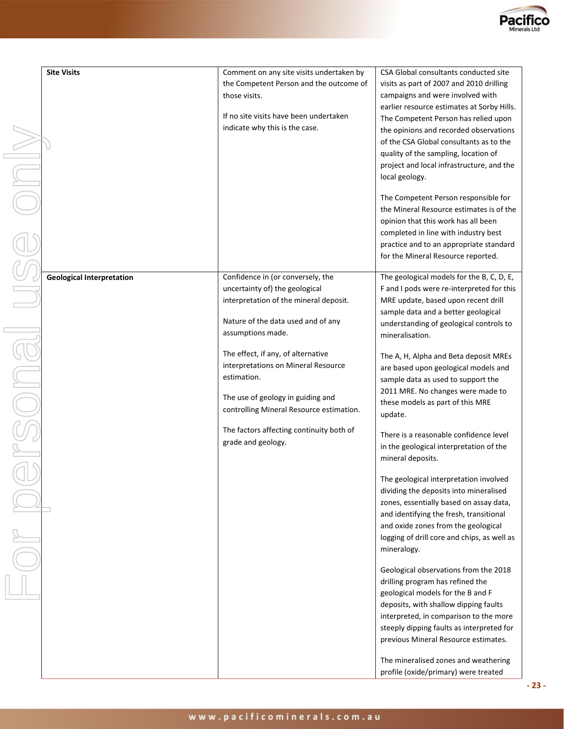

| <b>Site Visits</b>               | Comment on any site visits undertaken by | CSA Global consultants conducted site                                       |
|----------------------------------|------------------------------------------|-----------------------------------------------------------------------------|
|                                  | the Competent Person and the outcome of  | visits as part of 2007 and 2010 drilling                                    |
|                                  | those visits.                            | campaigns and were involved with                                            |
|                                  |                                          | earlier resource estimates at Sorby Hills.                                  |
|                                  | If no site visits have been undertaken   | The Competent Person has relied upon                                        |
|                                  | indicate why this is the case.           | the opinions and recorded observations                                      |
|                                  |                                          | of the CSA Global consultants as to the                                     |
|                                  |                                          | quality of the sampling, location of                                        |
|                                  |                                          | project and local infrastructure, and the                                   |
|                                  |                                          | local geology.                                                              |
|                                  |                                          |                                                                             |
|                                  |                                          | The Competent Person responsible for                                        |
|                                  |                                          | the Mineral Resource estimates is of the                                    |
|                                  |                                          | opinion that this work has all been<br>completed in line with industry best |
|                                  |                                          | practice and to an appropriate standard                                     |
|                                  |                                          | for the Mineral Resource reported.                                          |
|                                  |                                          |                                                                             |
| <b>Geological Interpretation</b> | Confidence in (or conversely, the        | The geological models for the B, C, D, E,                                   |
|                                  | uncertainty of) the geological           | F and I pods were re-interpreted for this                                   |
|                                  | interpretation of the mineral deposit.   | MRE update, based upon recent drill                                         |
|                                  |                                          | sample data and a better geological                                         |
|                                  | Nature of the data used and of any       | understanding of geological controls to                                     |
|                                  | assumptions made.                        | mineralisation.                                                             |
|                                  | The effect, if any, of alternative       | The A, H, Alpha and Beta deposit MREs                                       |
|                                  | interpretations on Mineral Resource      | are based upon geological models and                                        |
|                                  | estimation.                              | sample data as used to support the                                          |
|                                  |                                          | 2011 MRE. No changes were made to                                           |
|                                  | The use of geology in guiding and        | these models as part of this MRE                                            |
|                                  | controlling Mineral Resource estimation. | update.                                                                     |
|                                  | The factors affecting continuity both of |                                                                             |
|                                  | grade and geology.                       | There is a reasonable confidence level                                      |
|                                  |                                          | in the geological interpretation of the                                     |
|                                  |                                          | mineral deposits.                                                           |
|                                  |                                          | The geological interpretation involved                                      |
|                                  |                                          | dividing the deposits into mineralised                                      |
|                                  |                                          | zones, essentially based on assay data,                                     |
|                                  |                                          | and identifying the fresh, transitional                                     |
|                                  |                                          | and oxide zones from the geological                                         |
|                                  |                                          | logging of drill core and chips, as well as                                 |
|                                  |                                          | mineralogy.                                                                 |
|                                  |                                          |                                                                             |
|                                  |                                          | Geological observations from the 2018                                       |
|                                  |                                          | drilling program has refined the<br>geological models for the B and F       |
|                                  |                                          | deposits, with shallow dipping faults                                       |
|                                  |                                          | interpreted, in comparison to the more                                      |
|                                  |                                          | steeply dipping faults as interpreted for                                   |
|                                  |                                          | previous Mineral Resource estimates.                                        |
|                                  |                                          |                                                                             |
|                                  |                                          | The mineralised zones and weathering                                        |
|                                  |                                          | profile (oxide/primary) were treated                                        |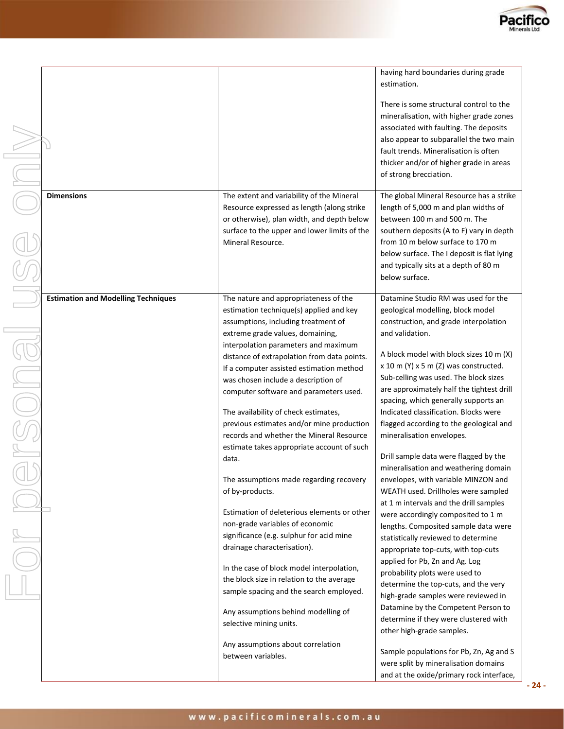

|                                            |                                                                                                                                                                                                                                                      | having hard boundaries during grade<br>estimation.                                                                                                                                                                                                                                                        |
|--------------------------------------------|------------------------------------------------------------------------------------------------------------------------------------------------------------------------------------------------------------------------------------------------------|-----------------------------------------------------------------------------------------------------------------------------------------------------------------------------------------------------------------------------------------------------------------------------------------------------------|
|                                            |                                                                                                                                                                                                                                                      | There is some structural control to the<br>mineralisation, with higher grade zones<br>associated with faulting. The deposits<br>also appear to subparallel the two main<br>fault trends. Mineralisation is often<br>thicker and/or of higher grade in areas<br>of strong brecciation.                     |
| <b>Dimensions</b>                          | The extent and variability of the Mineral<br>Resource expressed as length (along strike<br>or otherwise), plan width, and depth below<br>surface to the upper and lower limits of the<br>Mineral Resource.                                           | The global Mineral Resource has a strike<br>length of 5,000 m and plan widths of<br>between 100 m and 500 m. The<br>southern deposits (A to F) vary in depth<br>from 10 m below surface to 170 m<br>below surface. The I deposit is flat lying<br>and typically sits at a depth of 80 m<br>below surface. |
| <b>Estimation and Modelling Techniques</b> | The nature and appropriateness of the<br>estimation technique(s) applied and key<br>assumptions, including treatment of                                                                                                                              | Datamine Studio RM was used for the<br>geological modelling, block model<br>construction, and grade interpolation                                                                                                                                                                                         |
|                                            | extreme grade values, domaining,<br>interpolation parameters and maximum<br>distance of extrapolation from data points.<br>If a computer assisted estimation method<br>was chosen include a description of<br>computer software and parameters used. | and validation.<br>A block model with block sizes 10 m (X)<br>$x$ 10 m (Y) $x$ 5 m (Z) was constructed.<br>Sub-celling was used. The block sizes<br>are approximately half the tightest drill<br>spacing, which generally supports an                                                                     |
|                                            | The availability of check estimates,<br>previous estimates and/or mine production<br>records and whether the Mineral Resource                                                                                                                        | Indicated classification. Blocks were<br>flagged according to the geological and<br>mineralisation envelopes.                                                                                                                                                                                             |
|                                            | estimate takes appropriate account of such<br>data.<br>The assumptions made regarding recovery<br>of by-products.                                                                                                                                    | Drill sample data were flagged by the<br>mineralisation and weathering domain<br>envelopes, with variable MINZON and<br>WEATH used. Drillholes were sampled                                                                                                                                               |
|                                            | Estimation of deleterious elements or other<br>non-grade variables of economic<br>significance (e.g. sulphur for acid mine<br>drainage characterisation).                                                                                            | at 1 m intervals and the drill samples<br>were accordingly composited to 1 m<br>lengths. Composited sample data were<br>statistically reviewed to determine<br>appropriate top-cuts, with top-cuts                                                                                                        |
|                                            | In the case of block model interpolation,<br>the block size in relation to the average<br>sample spacing and the search employed.                                                                                                                    | applied for Pb, Zn and Ag. Log<br>probability plots were used to<br>determine the top-cuts, and the very<br>high-grade samples were reviewed in<br>Datamine by the Competent Person to                                                                                                                    |
|                                            | Any assumptions behind modelling of<br>selective mining units.                                                                                                                                                                                       | determine if they were clustered with<br>other high-grade samples.                                                                                                                                                                                                                                        |
|                                            | Any assumptions about correlation<br>between variables.                                                                                                                                                                                              | Sample populations for Pb, Zn, Ag and S<br>were split by mineralisation domains<br>and at the oxide/primary rock interface,                                                                                                                                                                               |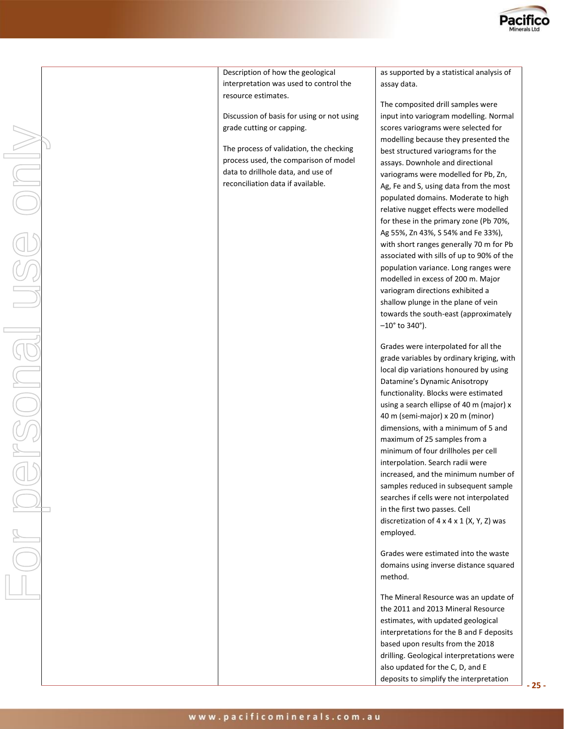Description of how the geological interpretation was used to control the resource estimates.

Discussion of basis for using or not using grade cutting or capping.

The process of validation, the checking process used, the comparison of model data to drillhole data, and use of reconciliation data if available.

as supported by a statistical analysis of assay data.

The composited drill samples were input into variogram modelling. Normal scores variograms were selected for modelling because they presented the best structured variograms for the assays. Downhole and directional variograms were modelled for Pb, Zn, Ag, Fe and S, using data from the most populated domains. Moderate to high relative nugget effects were modelled for these in the primary zone (Pb 70%, Ag 55%, Zn 43%, S 54% and Fe 33%), with short ranges generally 70 m for Pb associated with sills of up to 90% of the population variance. Long ranges were modelled in excess of 200 m. Major variogram directions exhibited a shallow plunge in the plane of vein towards the south-east (approximately  $-10^{\circ}$  to 340 $^{\circ}$ ).

Grades were interpolated for all the grade variables by ordinary kriging, with local dip variations honoured by using Datamine's Dynamic Anisotropy functionality. Blocks were estimated using a search ellipse of 40 m (major) x 40 m (semi-major) x 20 m (minor) dimensions, with a minimum of 5 and maximum of 25 samples from a minimum of four drillholes per cell interpolation. Search radii were increased, and the minimum number of samples reduced in subsequent sample searches if cells were not interpolated in the first two passes. Cell discretization of  $4 \times 4 \times 1$  (X, Y, Z) was employed.

Grades were estimated into the waste domains using inverse distance squared method.

The Mineral Resource was an update of the 2011 and 2013 Mineral Resource estimates, with updated geological interpretations for the B and F deposits based upon results from the 2018 drilling. Geological interpretations were also updated for the C, D, and E deposits to simplify the interpretation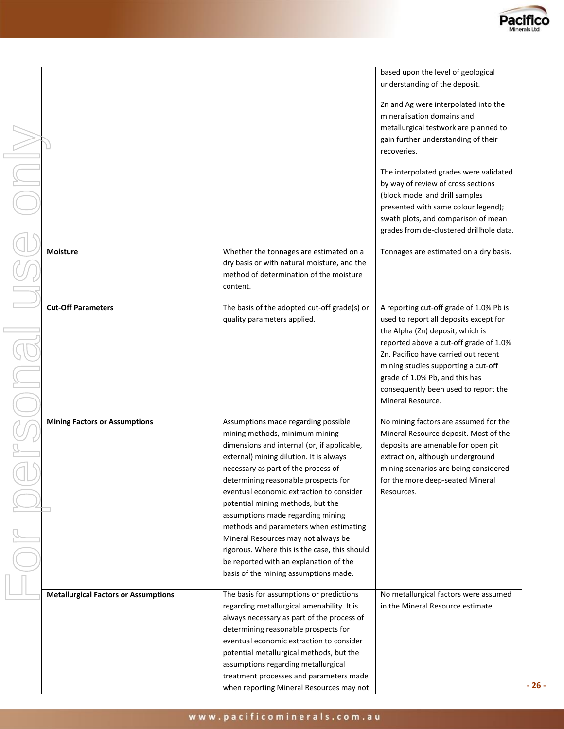

|                                             |                                                                                          | based upon the level of geological<br>understanding of the deposit.         |
|---------------------------------------------|------------------------------------------------------------------------------------------|-----------------------------------------------------------------------------|
|                                             |                                                                                          | Zn and Ag were interpolated into the<br>mineralisation domains and          |
|                                             |                                                                                          | metallurgical testwork are planned to                                       |
|                                             |                                                                                          | gain further understanding of their                                         |
|                                             |                                                                                          | recoveries.                                                                 |
|                                             |                                                                                          | The interpolated grades were validated                                      |
|                                             |                                                                                          | by way of review of cross sections                                          |
|                                             |                                                                                          | (block model and drill samples                                              |
|                                             |                                                                                          | presented with same colour legend);                                         |
|                                             |                                                                                          | swath plots, and comparison of mean                                         |
|                                             |                                                                                          | grades from de-clustered drillhole data.                                    |
| <b>Moisture</b>                             | Whether the tonnages are estimated on a                                                  | Tonnages are estimated on a dry basis.                                      |
|                                             | dry basis or with natural moisture, and the                                              |                                                                             |
|                                             | method of determination of the moisture                                                  |                                                                             |
|                                             | content.                                                                                 |                                                                             |
| <b>Cut-Off Parameters</b>                   | The basis of the adopted cut-off grade(s) or                                             | A reporting cut-off grade of 1.0% Pb is                                     |
|                                             | quality parameters applied.                                                              | used to report all deposits except for                                      |
|                                             |                                                                                          | the Alpha (Zn) deposit, which is                                            |
|                                             |                                                                                          | reported above a cut-off grade of 1.0%                                      |
|                                             |                                                                                          | Zn. Pacifico have carried out recent                                        |
|                                             |                                                                                          | mining studies supporting a cut-off                                         |
|                                             |                                                                                          | grade of 1.0% Pb, and this has<br>consequently been used to report the      |
|                                             |                                                                                          | Mineral Resource.                                                           |
|                                             |                                                                                          |                                                                             |
| <b>Mining Factors or Assumptions</b>        | Assumptions made regarding possible                                                      | No mining factors are assumed for the                                       |
|                                             | mining methods, minimum mining<br>dimensions and internal (or, if applicable,            | Mineral Resource deposit. Most of the<br>deposits are amenable for open pit |
|                                             | external) mining dilution. It is always                                                  | extraction, although underground                                            |
|                                             | necessary as part of the process of                                                      | mining scenarios are being considered                                       |
|                                             | determining reasonable prospects for                                                     | for the more deep-seated Mineral                                            |
|                                             | eventual economic extraction to consider                                                 | Resources.                                                                  |
|                                             | potential mining methods, but the                                                        |                                                                             |
|                                             | assumptions made regarding mining                                                        |                                                                             |
|                                             | methods and parameters when estimating<br>Mineral Resources may not always be            |                                                                             |
|                                             | rigorous. Where this is the case, this should                                            |                                                                             |
|                                             | be reported with an explanation of the                                                   |                                                                             |
|                                             | basis of the mining assumptions made.                                                    |                                                                             |
|                                             |                                                                                          |                                                                             |
| <b>Metallurgical Factors or Assumptions</b> | The basis for assumptions or predictions                                                 | No metallurgical factors were assumed<br>in the Mineral Resource estimate.  |
|                                             | regarding metallurgical amenability. It is<br>always necessary as part of the process of |                                                                             |
|                                             | determining reasonable prospects for                                                     |                                                                             |
|                                             | eventual economic extraction to consider                                                 |                                                                             |
|                                             | potential metallurgical methods, but the                                                 |                                                                             |
|                                             | assumptions regarding metallurgical                                                      |                                                                             |
|                                             | treatment processes and parameters made                                                  |                                                                             |
|                                             | when reporting Mineral Resources may not                                                 |                                                                             |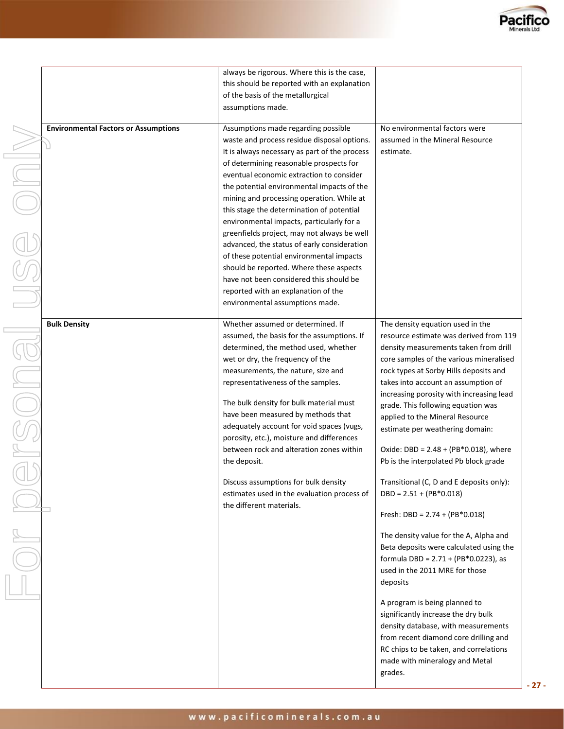

| <b>Environmental Factors or Assumptions</b> | always be rigorous. Where this is the case,<br>this should be reported with an explanation<br>of the basis of the metallurgical<br>assumptions made.<br>Assumptions made regarding possible<br>waste and process residue disposal options.<br>It is always necessary as part of the process<br>of determining reasonable prospects for<br>eventual economic extraction to consider<br>the potential environmental impacts of the<br>mining and processing operation. While at<br>this stage the determination of potential<br>environmental impacts, particularly for a<br>greenfields project, may not always be well<br>advanced, the status of early consideration<br>of these potential environmental impacts<br>should be reported. Where these aspects<br>have not been considered this should be<br>reported with an explanation of the<br>environmental assumptions made. | No environmental factors were<br>assumed in the Mineral Resource<br>estimate.                                                                                                                                                                                                                                                                                                                                                                                                                                                                                                                                                                                                                                                                                                                                                                                                                                                                                                                                                       |
|---------------------------------------------|-----------------------------------------------------------------------------------------------------------------------------------------------------------------------------------------------------------------------------------------------------------------------------------------------------------------------------------------------------------------------------------------------------------------------------------------------------------------------------------------------------------------------------------------------------------------------------------------------------------------------------------------------------------------------------------------------------------------------------------------------------------------------------------------------------------------------------------------------------------------------------------|-------------------------------------------------------------------------------------------------------------------------------------------------------------------------------------------------------------------------------------------------------------------------------------------------------------------------------------------------------------------------------------------------------------------------------------------------------------------------------------------------------------------------------------------------------------------------------------------------------------------------------------------------------------------------------------------------------------------------------------------------------------------------------------------------------------------------------------------------------------------------------------------------------------------------------------------------------------------------------------------------------------------------------------|
| <b>Bulk Density</b>                         | Whether assumed or determined. If<br>assumed, the basis for the assumptions. If<br>determined, the method used, whether<br>wet or dry, the frequency of the<br>measurements, the nature, size and<br>representativeness of the samples.<br>The bulk density for bulk material must<br>have been measured by methods that<br>adequately account for void spaces (vugs,<br>porosity, etc.), moisture and differences<br>between rock and alteration zones within<br>the deposit.<br>Discuss assumptions for bulk density<br>estimates used in the evaluation process of<br>the different materials.                                                                                                                                                                                                                                                                                 | The density equation used in the<br>resource estimate was derived from 119<br>density measurements taken from drill<br>core samples of the various mineralised<br>rock types at Sorby Hills deposits and<br>takes into account an assumption of<br>increasing porosity with increasing lead<br>grade. This following equation was<br>applied to the Mineral Resource<br>estimate per weathering domain:<br>Oxide: DBD = $2.48 + (PB*0.018)$ , where<br>Pb is the interpolated Pb block grade<br>Transitional (C, D and E deposits only):<br>$DBD = 2.51 + (PB*0.018)$<br>Fresh: DBD = $2.74 + (PB*0.018)$<br>The density value for the A, Alpha and<br>Beta deposits were calculated using the<br>formula DBD = 2.71 + (PB*0.0223), as<br>used in the 2011 MRE for those<br>deposits<br>A program is being planned to<br>significantly increase the dry bulk<br>density database, with measurements<br>from recent diamond core drilling and<br>RC chips to be taken, and correlations<br>made with mineralogy and Metal<br>grades. |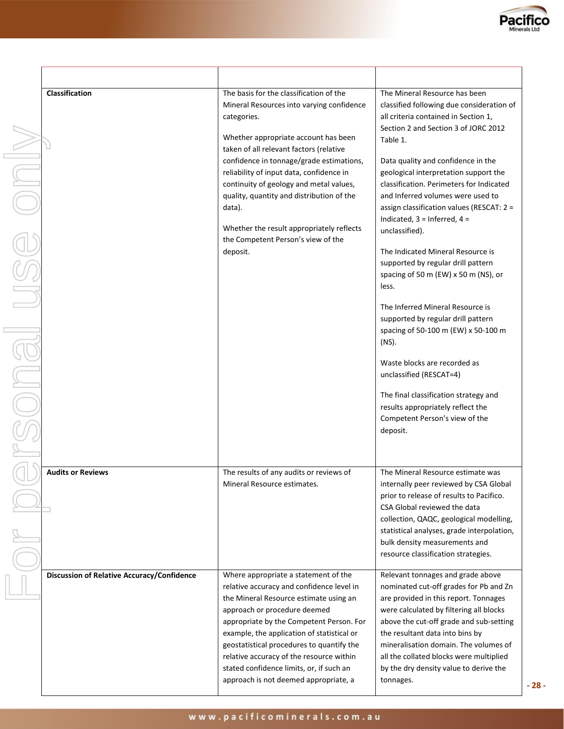

| Classification                                    | The basis for the classification of the<br>Mineral Resources into varying confidence<br>categories.<br>Whether appropriate account has been                                                                                                                                                                                                                                                                                         | The Mineral Resource has been<br>classified following due consideration of<br>all criteria contained in Section 1,<br>Section 2 and Section 3 of JORC 2012                                                                                                                                                                                                                               |
|---------------------------------------------------|-------------------------------------------------------------------------------------------------------------------------------------------------------------------------------------------------------------------------------------------------------------------------------------------------------------------------------------------------------------------------------------------------------------------------------------|------------------------------------------------------------------------------------------------------------------------------------------------------------------------------------------------------------------------------------------------------------------------------------------------------------------------------------------------------------------------------------------|
|                                                   | taken of all relevant factors (relative                                                                                                                                                                                                                                                                                                                                                                                             | Table 1.                                                                                                                                                                                                                                                                                                                                                                                 |
|                                                   | confidence in tonnage/grade estimations,<br>reliability of input data, confidence in<br>continuity of geology and metal values,<br>quality, quantity and distribution of the<br>data).                                                                                                                                                                                                                                              | Data quality and confidence in the<br>geological interpretation support the<br>classification. Perimeters for Indicated<br>and Inferred volumes were used to<br>assign classification values (RESCAT: 2 =<br>Indicated, $3 =$ Inferred, $4 =$                                                                                                                                            |
|                                                   | Whether the result appropriately reflects<br>the Competent Person's view of the                                                                                                                                                                                                                                                                                                                                                     | unclassified).                                                                                                                                                                                                                                                                                                                                                                           |
|                                                   | deposit.                                                                                                                                                                                                                                                                                                                                                                                                                            | The Indicated Mineral Resource is<br>supported by regular drill pattern<br>spacing of 50 m (EW) x 50 m (NS), or<br>less.                                                                                                                                                                                                                                                                 |
|                                                   |                                                                                                                                                                                                                                                                                                                                                                                                                                     | The Inferred Mineral Resource is<br>supported by regular drill pattern<br>spacing of 50-100 m (EW) x 50-100 m<br>(NS).                                                                                                                                                                                                                                                                   |
|                                                   |                                                                                                                                                                                                                                                                                                                                                                                                                                     | Waste blocks are recorded as<br>unclassified (RESCAT=4)                                                                                                                                                                                                                                                                                                                                  |
|                                                   |                                                                                                                                                                                                                                                                                                                                                                                                                                     | The final classification strategy and<br>results appropriately reflect the<br>Competent Person's view of the<br>deposit.                                                                                                                                                                                                                                                                 |
| <b>Audits or Reviews</b>                          | The results of any audits or reviews of<br>Mineral Resource estimates.                                                                                                                                                                                                                                                                                                                                                              | The Mineral Resource estimate was<br>internally peer reviewed by CSA Global<br>prior to release of results to Pacifico.<br>CSA Global reviewed the data                                                                                                                                                                                                                                  |
|                                                   |                                                                                                                                                                                                                                                                                                                                                                                                                                     | collection, QAQC, geological modelling,<br>statistical analyses, grade interpolation,<br>bulk density measurements and<br>resource classification strategies.                                                                                                                                                                                                                            |
| <b>Discussion of Relative Accuracy/Confidence</b> | Where appropriate a statement of the<br>relative accuracy and confidence level in<br>the Mineral Resource estimate using an<br>approach or procedure deemed<br>appropriate by the Competent Person. For<br>example, the application of statistical or<br>geostatistical procedures to quantify the<br>relative accuracy of the resource within<br>stated confidence limits, or, if such an<br>approach is not deemed appropriate, a | Relevant tonnages and grade above<br>nominated cut-off grades for Pb and Zn<br>are provided in this report. Tonnages<br>were calculated by filtering all blocks<br>above the cut-off grade and sub-setting<br>the resultant data into bins by<br>mineralisation domain. The volumes of<br>all the collated blocks were multiplied<br>by the dry density value to derive the<br>tonnages. |